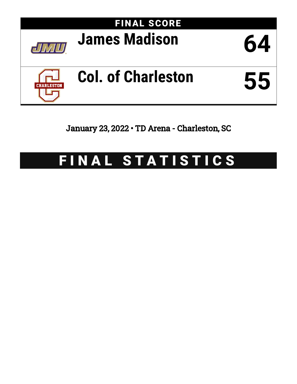

January 23, 2022 • TD Arena - Charleston, SC

# FINAL STATISTICS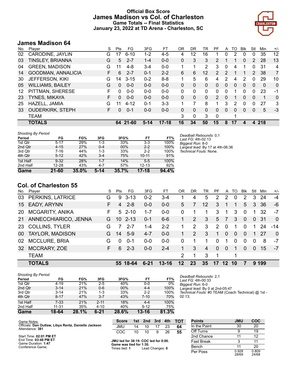# **Official Box Score James Madison vs Col. of Charleston Game Totals -- Final Statistics January 23, 2022 at TD Arena - Charleston, SC**



# **James Madison 64**

| No. | Plaver                  | S  | <b>Pts</b> | FG       | 3FG     | FT      | 0R | DR | TR             | PF             | A        | TO            | <b>B</b> lk | Stl      | Min      | $+/-$          |
|-----|-------------------------|----|------------|----------|---------|---------|----|----|----------------|----------------|----------|---------------|-------------|----------|----------|----------------|
| 02  | CARODINE, JAYLIN        | G  | 17         | $6 - 10$ | $1 - 2$ | $4 - 5$ | 4  | 12 | 16             |                | 0        | 2             | 0           | 0        | 35       | 12             |
| 03  | <b>TINSLEY, BRIANNA</b> | G  | 5          | $2 - 7$  | $1 - 4$ | $0 - 0$ | 0  | 3  | 3              | 2              |          |               | 0           | 2        | 28       | 13             |
| 04  | <b>GREEN, MADISON</b>   | G  | 11         | $4 - 8$  | $3 - 4$ | $0-0$   |    | 1  | $\overline{2}$ | 3              | 0        | 4             |             | 0        | 31       | 4              |
| 14  | GOODMAN, ANNALICIA      | F. | 6          | $2 - 7$  | $0 - 1$ | $2 - 2$ | 6  | 6  | 12             | $\mathcal{P}$  | 2        |               |             | 2        | 38       | $\overline{7}$ |
| 30  | JEFFERSON, KIKI         | G  | 14         | $3 - 15$ | $0 - 2$ | $8 - 8$ | 1  | 5  | 6              | 4              | 2        | 4             | 2           | $\Omega$ | 29       | 10             |
| 05  | WILLIAMS, BAILEY        | G  | $\Omega$   | $0 - 0$  | $0 - 0$ | $0 - 0$ | 0  | 0  | 0              | 0              | $\Omega$ | $\Omega$      | $\Omega$    | $\Omega$ | $\Omega$ | 0              |
| 12  | PITTMAN, SHERESE        | F  | 0          | $0 - 0$  | $0 - 0$ | $0 - 0$ | 0  | 0  | $\Omega$       | 0              | 0        |               | 0           | 0        | 23       | -1             |
| 23  | <b>TYNES, MIKAYA</b>    | F. | $\Omega$   | $0 - 0$  | $0 - 0$ | $0 - 0$ | 0  | 0  | 0              | $\overline{2}$ | $\Omega$ |               | $\Omega$    | $\Omega$ | 1        | 0              |
| 25  | HAZELL, JAMIA           | G  | 11         | $4 - 12$ | $0 - 1$ | $3 - 3$ |    |    | 8              | 1.             | 3        | $\mathcal{P}$ | 0           | 0        | 27       | 3              |
| 33  | <b>OUDERKIRK, STEPH</b> | F. | $\Omega$   | $0 - 1$  | $0 - 0$ | $0 - 0$ | 0  | 0  | 0              | 0              | 0        | 0             | 0           | 0        | 5        | $-3$           |
|     | TEAM                    |    |            |          |         |         | 3  | 0  | 3              | 0              |          |               |             |          |          |                |
|     | <b>TOTALS</b>           |    | 64         | 21-60    | $5-14$  | $17-18$ | 16 | 34 | 50             | 15             | 8        | 17            | 4           | 4        | 218      |                |

| <b>Shooting By Period</b> |           |       |         |       |           |       |
|---------------------------|-----------|-------|---------|-------|-----------|-------|
| Period                    | FG        | FG%   | 3FG     | 3FG%  | FT        | FT%   |
| 1st Qtr                   | $5 - 17$  | 29%   | 1-3     | 33%   | $3-3$     | 100%  |
| 2nd Qtr                   | $4 - 15$  | 27%   | $0 - 4$ | 00%   | $2 - 2$   | 100%  |
| 3rd Qtr                   | $7-16$    | 44%   | 1-3     | 33%   | $2 - 2$   | 100%  |
| 4th Qtr                   | $5 - 12$  | 42%   | $3 - 4$ | 75%   | $10 - 11$ | 91%   |
| 1st Half                  | $9 - 32$  | 28%   | $1 - 7$ | 14%   | $5-5$     | 100%  |
| 2nd Half                  | $12 - 28$ | 43%   | $4 - 7$ | 57%   | $12 - 13$ | 92%   |
| Game                      | $21 - 60$ | 35.0% | 5-14    | 35.7% | $17-18$   | 94.4% |

**Col. of Charleston 55**

| No.       | Player                 | S  | Pts      | FG       | 3FG      | FT        | OR       | DR | TR                | PF       | A        | TO       | <b>B</b> lk           | Stl      | Min | $+/-$          |
|-----------|------------------------|----|----------|----------|----------|-----------|----------|----|-------------------|----------|----------|----------|-----------------------|----------|-----|----------------|
| 03        | PERKINS, LATRICE       | G  | 9        | -3-13    | $0 - 2$  | $3 - 4$   |          | 4  | 5                 | 2        | 2        | 0        | $\mathbf{2}^{\prime}$ | 3        | 24  | $-4$           |
|           | 15 EADY, ARYNN         | F  | 4        | $2 - 8$  | $0 - 0$  | $0 - 0$   | 5        |    | $12 \overline{ }$ | 3        | 1        |          | 5                     | 3        | 36  | -6             |
| <b>20</b> | <b>MCGARITY, ANIKA</b> | F  | 5.       | $2 - 10$ | $1 - 7$  | $0-0$     | $\Omega$ |    |                   | 3        | 1        | 3        | $\Omega$              | 1        | 32  | -7             |
| 21        | ANNECCHIARICO, JENNA   | G. | 10       | $2 - 13$ | $0 - 1$  | $6 - 6$   | 1.       | 2  | 3                 | 5        | 7        | 3        | $\Omega$              | $\Omega$ | -31 | $\overline{0}$ |
| 23        | <b>COLLINS, TYLER</b>  | G  |          | $2 - 7$  | 1-4      | $2 - 2$   | 1        | 2  | 3                 | 2        | $\Omega$ |          | $\Omega$              |          | 24  | $-14$          |
| 00.       | <b>TAYLOR, MADISON</b> | G. | 14       | $5-9$    | $4 - 7$  | $0 - 0$   |          | 2  | 3                 | 1        | $\Omega$ | $\Omega$ | $\Omega$              | 1        | -27 | $\Omega$       |
| 02        | <b>MCCLURE, BRIA</b>   | G  | $\Omega$ | $0 - 1$  | $0 - 0$  | $0-0$     | 0        |    |                   | 0        | 1        | 0        | $\Omega$              | $\Omega$ | 8   | -7             |
| 32        | MCCRARY, ZOE           | F. | 6        | $2 - 3$  | $0 - 0$  | $2 - 4$   |          | 3  | 4                 | $\Omega$ | $\Omega$ |          | $\Omega$              | $\Omega$ | 15  | $-7$           |
|           | <b>TEAM</b>            |    |          |          |          |           | 2        | 1  | 3                 | 1        |          | 1        |                       |          |     |                |
|           | <b>TOTALS</b>          |    |          | 55 18-64 | $6 - 21$ | $13 - 16$ | 12       | 23 | 35                | 17       | 12       | 10       |                       | 9        | 199 |                |

| <b>Shooting By Period</b> |           |       |          |       |           |       |
|---------------------------|-----------|-------|----------|-------|-----------|-------|
| Period                    | FG        | FG%   | 3FG      | 3FG%  | FT        | FT%   |
| 1st Qtr                   | $4 - 19$  | 21%   | $2 - 5$  | 40%   | $0 - 0$   | 0%    |
| 2nd Qtr                   | $3 - 14$  | 21%   | $0 - 6$  | 00%   | $4 - 4$   | 100%  |
| 3rd Qtr                   | $3 - 14$  | 21%   | $1 - 3$  | 33%   | $2 - 2$   | 100%  |
| 4th Qtr                   | $8 - 17$  | 47%   | $3 - 7$  | 43%   | $7 - 10$  | 70%   |
| 1st Half                  | $7 - 33$  | 21%   | $2 - 11$ | 18%   | $4 - 4$   | 100%  |
| 2nd Half                  | $11 - 31$ | 35%   | $4 - 10$ | 40%   | $9 - 12$  | 75%   |
| Game                      | 18-64     | 28.1% | $6 - 21$ | 28.6% | $13 - 16$ | 81.3% |

| Deadball Rebounds: 2.1<br>Last $FG: 4th-00:33$     |  |
|----------------------------------------------------|--|
| Biggest Run: 6-0                                   |  |
| Largest lead: By 0 at 2nd-05:47                    |  |
| Technical Fouls: #0 TEAM (Coach Technical) @ 1st - |  |
| 02:13:                                             |  |

*Deadball Rebounds:* 0,1 *Last FG:* 4th-02:13 *Biggest Run:* 8-0

*Largest lead:* By 17 at 4th-06:36 *Technical Fouls:* None.

| Game Notes:                                                             | Score |    | 1st 2nd |
|-------------------------------------------------------------------------|-------|----|---------|
| Officials: Dan Outlaw, Libya Rentz, Danielle Jackson<br>Attendance: 381 | JMU.  | 14 | 10      |
|                                                                         | COC.  | 10 | 10      |
| Start Time: 02:01 PM ET<br>$End$ Time: 02:40 DM ET                      |       |    |         |

| e Jackson | JMU                                         | 14 |    | 10 17 23 |      | 64 |
|-----------|---------------------------------------------|----|----|----------|------|----|
|           | COC.                                        | 10 | 10 | -9       | - 26 | 55 |
|           | $.$ IMIJ led for 38:19 $.$ COC led for 0:00 |    |    |          |      |    |

**JMU led for 38:19. COC led for 0:00. Game was tied for 1:30.** Times tied: **1** Lead Changes: **0**

**Score 1st 2nd 3rd 4th TOT**

| <b>Points</b>     | <b>JMU</b>     | COC            |
|-------------------|----------------|----------------|
| In the Paint      | 30             | 20             |
| Off Turns         | 9              | 19             |
| 2nd Chance        | 11             | 12             |
| <b>Fast Break</b> | 3              | 11             |
| Bench             | 11             | 20             |
| Per Poss          | 0.928<br>28/69 | 0.809<br>24/68 |

End Time: **03:48 PM ET** Game Duration: **1:47**

Conference Game;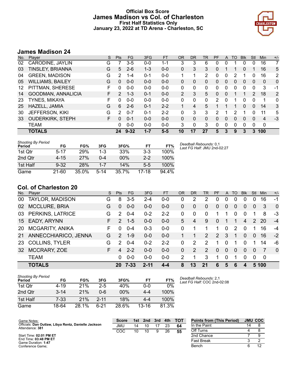# **Official Box Score James Madison vs Col. of Charleston First Half Statistics Only January 23, 2022 at TD Arena - Charleston, SC**



# **James Madison 24**

| No. | Plaver                  | S  | <b>Pts</b>    | <b>FG</b> | 3FG     | <b>FT</b> | <b>OR</b>      | <b>DR</b> | TR       | PF       | A | TO       | <b>Blk</b> | Stl            | <b>Min</b> | $+/-$          |
|-----|-------------------------|----|---------------|-----------|---------|-----------|----------------|-----------|----------|----------|---|----------|------------|----------------|------------|----------------|
| 02  | CARODINE, JAYLIN        | G  |               | 3-5       | $0 - 0$ | $1 - 1$   | 3              | 3         | 6        | 0        | 0 |          | 0          | 0              | 16         | 7              |
| 03  | TINSLEY, BRIANNA        | G  | 5             | $2 - 6$   | $1 - 3$ | $0 - 0$   | 0              | 3         | 3        | 0        |   |          | $\Omega$   |                | 16         | 5              |
| 04  | <b>GREEN, MADISON</b>   | G  | 2             | $1 - 4$   | $0 - 1$ | $0-0$     |                | 1         | 2        | 0        | 0 | 2        |            | 0              | 16         | $\overline{2}$ |
| 05  | <b>WILLIAMS, BAILEY</b> | G  | 0             | $0 - 0$   | $0 - 0$ | $0 - 0$   | 0              | 0         | 0        | 0        | 0 | 0        | 0          | 0              | 0          | 0              |
| 12  | PITTMAN, SHERESE        | F. | 0             | $0 - 0$   | $0 - 0$ | $0 - 0$   | 0              | 0         | 0        | 0        | 0 | 0        | 0          | 0              | 3          | -1             |
| 14  | GOODMAN, ANNALICIA      | F  | $\mathcal{P}$ | $1 - 3$   | $0 - 1$ | $0 - 0$   | $\overline{2}$ | 3         | 5.       | 0        | 0 |          |            | $\overline{2}$ | 18         | $\overline{2}$ |
| 23  | TYNES, MIKAYA           | F  | 0             | $0 - 0$   | $0 - 0$ | $0 - 0$   | 0              | 0         | 0        | 2        | 0 |          | 0          | 0              | 1          | 0              |
| 25  | HAZELL, JAMIA           | G  | 6             | $2 - 6$   | $0 - 1$ | $2 - 2$   | 1              | 4         | 5        |          |   |          | $\Omega$   | 0              | 14         | 3              |
| 30  | <b>JEFFERSON, KIKI</b>  | G  | 2             | $0 - 7$   | $0 - 1$ | $2 - 2$   | 0              | 3         | 3        | 2        |   | 2        |            | 0              | 11         | 5              |
| 33  | <b>OUDERKIRK, STEPH</b> | F  | 0             | $0 - 1$   | $0 - 0$ | $0 - 0$   | 0              | $\Omega$  | $\Omega$ | $\Omega$ | 0 | 0        | $\Omega$   | $\Omega$       | 4          | $-3$           |
|     | <b>TEAM</b>             |    | 0             | $0 - 0$   | $0 - 0$ | $0 - 0$   | 3              | 0         | 3        | 0        | 0 | $\Omega$ | $\Omega$   | 0              | 0          |                |
|     | <b>TOTALS</b>           |    | 24            | $9 - 32$  | $1 - 7$ | $5 - 5$   | 10             | 17        | 27       | 5        | 3 | 9        | 3          | 3              | 100        |                |

| <b>Shooting By Period</b><br>Period | FG       | FG%        | 3FG     | 3FG%  | FТ      | FT%      |
|-------------------------------------|----------|------------|---------|-------|---------|----------|
| 1st Otr                             | 5-17     | <b>29%</b> | $1 - 3$ | 33%   | $3-3$   | 100%     |
| 2nd Otr                             | $4 - 15$ | 27%        | 0-4     | 00%   | $2 - 2$ | 100%     |
| 1st Half                            | $9 - 32$ | <b>28%</b> | $1 - 7$ | 14%   | $5-5$   | 100%     |
| Game                                | 21-60    | 35.0%      | $5-14$  | 35.7% | 17-18   | $94.4\%$ |

*Deadball Rebounds:* 0,1 *Last FG Half:* JMU 2nd-02:27

# **Col. of Charleston 20**

| No. | Player                 | S. | <b>Pts</b>    | FG      | 3FG      | <b>FT</b> | <b>OR</b>     | <b>DR</b>     | TR            | <b>PF</b>      | A        | TO.      | <b>Blk</b> | Stl      | Min         | $+/-$    |
|-----|------------------------|----|---------------|---------|----------|-----------|---------------|---------------|---------------|----------------|----------|----------|------------|----------|-------------|----------|
| 00  | TAYLOR, MADISON        | G  | 8             | $3-5$   | $2 - 4$  | $0 - 0$   | 0             | 2             | 2             | 0              | 0        | 0        | 0          | 0        | 16          | -1       |
| 02  | <b>MCCLURE, BRIA</b>   | G  | 0             | $0 - 0$ | $0 - 0$  | $0-0$     | 0             | 0             | $\mathbf{0}$  | 0              | 0        | 0        | 0          | 0        | 3           | $\Omega$ |
| 03  | PERKINS, LATRICE       | G  | 2             | $0 - 4$ | $0 - 2$  | $2 - 2$   | 0             | $\Omega$      | $\Omega$      |                | 1        | 0        | $\Omega$   | 1        | 8           | -3       |
| 15  | EADY, ARYNN            | F  | $\mathcal{P}$ | $1 - 5$ | $0 - 0$  | $0 - 0$   | 5             | 4             | 9             | $\Omega$       |          | 1        | 4          | 2        | 20          | $-4$     |
| 20  | <b>MCGARITY, ANIKA</b> | F. | $\Omega$      | $0 - 4$ | $0 - 3$  | $0 - 0$   | 0             |               |               |                | $\Omega$ | 2        | $\Omega$   | 1        | 16          | $-4$     |
| 21  | ANNECCHIARICO, JENNA   | G  | $\mathcal{P}$ | $1 - 9$ | $0 - 0$  | $0 - 0$   |               |               | $\mathcal{P}$ | $\overline{2}$ | 3        | 1        | $\Omega$   | $\Omega$ | 16          | $-2$     |
| -23 | <b>COLLINS, TYLER</b>  | G  | 2             | $0 - 4$ | $0 - 2$  | $2 - 2$   | 0             | 2             | 2             |                | 0        |          |            | 1        | 14          | -6       |
| 32  | MCCRARY, ZOE           | F  | 4             | $2 - 2$ | $0 - 0$  | $0 - 0$   | $\Omega$      | $\mathcal{P}$ | 2             | $\Omega$       | $\Omega$ | $\Omega$ | $\Omega$   | $\Omega$ | 7           | $\Omega$ |
|     | <b>TEAM</b>            |    | 0             | $0 - 0$ | $0 - 0$  | $0 - 0$   | $\mathcal{P}$ |               | 3             | 1              | 0        | 1        | $\Omega$   | 0        | $\mathbf 0$ |          |
|     | <b>TOTALS</b>          |    | 20            | 7-33    | $2 - 11$ | $4 - 4$   | 8             | 13            | 21            | 6              | 5        | 6        | 4          |          | 5 100       |          |

| <b>Shooting By Period</b><br>Period | FG       | FG%   | 3FG      | 3FG%  | FТ        | FT%   |
|-------------------------------------|----------|-------|----------|-------|-----------|-------|
| 1st Otr                             | 4-19     | 21%   | $2 - 5$  | 40%   | $0 - 0$   | 0%    |
| 2nd Qtr                             | $3 - 14$ | 21%   | Ი-Ნ      | 00%   | 4-4       | 100%  |
| 1st Half                            | $7 - 33$ | 21%   | $2 - 11$ | 18%   | 4-4       | 100%  |
| Game                                | 18-64    | 28.1% | հ-21     | 28.6% | $13 - 16$ | 81.3% |

*Deadball Rebounds:* 2,1 *Last FG Half:* COC 2nd-02:08

| Game Notes:                                                             | <b>Score</b> | 1st l | 2nd | 3rd | 4th | <b>- тот</b> | <b>Points from (This Period)</b> |    | <b>JMU COC</b> |
|-------------------------------------------------------------------------|--------------|-------|-----|-----|-----|--------------|----------------------------------|----|----------------|
| Officials: Dan Outlaw, Libya Rentz, Danielle Jackson<br>Attendance: 381 | JMU          | 14    |     |     | 23  | 64           | In the Paint                     | 14 |                |
|                                                                         | COC          | 10    |     |     | 26  | 55           | Off Turns                        |    |                |
| Start Time: 02:01 PM ET                                                 |              |       |     |     |     |              | 2nd Chance                       |    |                |
| End Time: 03:48 PM ET<br>Game Duration: 1:47                            |              |       |     |     |     |              | <b>Fast Break</b>                |    |                |
| Conference Game:                                                        |              |       |     |     |     |              | Bench                            |    |                |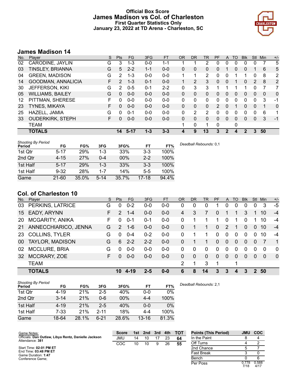# **Official Box Score James Madison vs Col. of Charleston First Quarter Statistics Only January 23, 2022 at TD Arena - Charleston, SC**



# **James Madison 14**

| No. | Plaver                  | S  | <b>Pts</b> | <b>FG</b> | 3FG     | <b>FT</b> | <b>OR</b>    | <b>DR</b> | TR | <b>PF</b> | A              | TO | <b>B</b> lk | Stl      | Min | $+/-$          |
|-----|-------------------------|----|------------|-----------|---------|-----------|--------------|-----------|----|-----------|----------------|----|-------------|----------|-----|----------------|
| 02  | CARODINE, JAYLIN        | G  | 3          | $1 - 3$   | $0 - 0$ | 1-1       |              |           | 2  | 0         | 0              | 0  | 0           | 0        |     | 5              |
| 03  | <b>TINSLEY, BRIANNA</b> | G  | 5          | $2 - 2$   | $1 - 1$ | $0 - 0$   | 0            | 0         | 0  | 0         |                | 0  | 0           |          | 6   | 5              |
| 04  | <b>GREEN, MADISON</b>   | G  | 2          | 1-3       | $0 - 0$ | $0 - 0$   | 1            | 1         | 2  | $\Omega$  | 0              |    |             | 0        | 8   | $\overline{2}$ |
| 14  | GOODMAN, ANNALICIA      | F. | 2          | $1 - 3$   | $0 - 1$ | $0 - 0$   | 1            | 2         | 3  | $\Omega$  | 0              |    | $\Omega$    | 2        | 8   | 2              |
| 30  | <b>JEFFERSON, KIKI</b>  | G  | 2          | $0 - 5$   | $0 - 1$ | $2 - 2$   | 0            | 3         | 3  | 1         |                |    |             | 0        | 7   | 7              |
| 05  | <b>WILLIAMS, BAILEY</b> | G  | $\Omega$   | $0 - 0$   | $0 - 0$ | $0 - 0$   | $\mathbf{0}$ | $\Omega$  | 0  | $\Omega$  | $\Omega$       | 0  | 0           | $\Omega$ | 0   | 0              |
| 12  | PITTMAN, SHERESE        | F  | 0          | $0 - 0$   | $0 - 0$ | $0 - 0$   | 0            | 0         | 0  | 0         | $\Omega$       | 0  | 0           | $\Omega$ | 3   | $-1$           |
| 23  | <b>TYNES, MIKAYA</b>    | F  | 0          | $0 - 0$   | $0 - 0$ | $0 - 0$   | 0            | 0         | 0  | 2         | 0              |    | 0           | 0        | 1   | 0              |
| 25  | HAZELL, JAMIA           | G  | 0          | $0 - 1$   | $0 - 0$ | $0 - 0$   | 0            | 2         | 2  | 0         | 0              | 0  | 0           | 0        | 6   | 1              |
| 33  | <b>OUDERKIRK, STEPH</b> | F. | 0          | $0 - 0$   | $0 - 0$ | $0 - 0$   | $\Omega$     | 0         | 0  | $\Omega$  | 0              | 0  | 0           | 0        | 3   | $-1$           |
|     | <b>TEAM</b>             |    |            |           |         |           |              | 0         |    | 0         |                | 0  |             |          |     |                |
|     | <b>TOTALS</b>           |    | 14         | $5 - 17$  | $1 - 3$ | $3 - 3$   | 4            | 9         | 13 | 3         | $\overline{2}$ | 4  | 2           | 3        | 50  |                |

| <b>Shooting By Period</b><br>Period | FG        | FG%   | 3FG      | 3FG%  | FT      | FT%   | Deadball Rebounds: 0.1 |
|-------------------------------------|-----------|-------|----------|-------|---------|-------|------------------------|
| 1st Qtr                             | $5 - 17$  | 29%   | $1 - 3$  | 33%   | $3 - 3$ | 100%  |                        |
| 2nd Qtr                             | $4 - 15$  | 27%   | $0 - 4$  | 00%   | $2 - 2$ | 100%  |                        |
| 1st Half                            | $5 - 17$  | 29%   | $1 - 3$  | 33%   | 3-3     | 100%  |                        |
| 1st Half                            | $9 - 32$  | 28%   | $1 - 7$  | 14%   | $5-5$   | 100%  |                        |
| Game                                | $21 - 60$ | 35.0% | $5 - 14$ | 35.7% | $17-18$ | 94.4% |                        |

# **Col. of Charleston 10**

| No.             | Plaver                  | S. | <b>Pts</b> | FG      | 3FG     | <b>FT</b> | <b>OR</b>     | DR       | <b>TR</b> | <b>PF</b> | $\mathsf{A}$ | TO       | <b>Blk</b> | <b>Stl</b> | Min      | $+/-$          |
|-----------------|-------------------------|----|------------|---------|---------|-----------|---------------|----------|-----------|-----------|--------------|----------|------------|------------|----------|----------------|
| 03              | <b>PERKINS, LATRICE</b> | G  | 0          | $0 - 2$ | $0 - 0$ | $0 - 0$   | 0             | 0        | $\Omega$  |           | 0            | 0        | 0          | 0          | 3        | -5             |
| 15              | EADY, ARYNN             | F  | 2          | $1 - 4$ | $0 - 0$ | $0-0$     | 4             | 3        |           | 0         |              |          | 3          |            | 10       | $-4$           |
| 20              | <b>MCGARITY, ANIKA</b>  | F. | $\Omega$   | $0 - 1$ | $0 - 1$ | $0-0$     | 0             |          |           | 1         | 0            |          | $\Omega$   |            | 10       | $-4$           |
| 21              | ANNECCHIARICO, JENNA    | G  | 2          | $1 - 6$ | $0 - 0$ | $0-0$     | 0             |          |           | $\Omega$  | 2            |          | 0          | 0          | 10       | $-4$           |
| 23              | <b>COLLINS, TYLER</b>   | G  | 0          | $0 - 4$ | $0 - 2$ | $0-0$     | 0             |          |           | 0         | $\Omega$     | $\Omega$ | $\Omega$   | $\Omega$   | 10       | $-4$           |
| 00 <sup>1</sup> | TAYLOR, MADISON         | G  | 6          | $2 - 2$ | $2 - 2$ | $0-0$     | $\Omega$      |          |           | $\Omega$  | $\Omega$     | $\Omega$ | $\Omega$   | $\Omega$   | 7        | $\overline{1}$ |
| 02              | <b>MCCLURE, BRIA</b>    | G  | $\Omega$   | $0 - 0$ | $0-0$   | $0-0$     | 0             | $\Omega$ | $\Omega$  | 0         | 0            | $\Omega$ | $\Omega$   | $\Omega$   | $\Omega$ | $\Omega$       |
| 32              | MCCRARY, ZOE            | F. | $\Omega$   | $0 - 0$ | $0 - 0$ | $0 - 0$   | 0             | $\Omega$ | $\Omega$  | $\Omega$  | $\Omega$     | $\Omega$ | $\Omega$   | $\Omega$   | $\Omega$ | $\Omega$       |
|                 | <b>TEAM</b>             |    |            |         |         |           | $\mathcal{P}$ |          | 3         | 1         |              | 1        |            |            |          |                |
|                 | <b>TOTALS</b>           |    | 10         |         | 2-5     | $0 - 0$   | 6             | 8        | 14        | 3         | 3            | 4        | 3          | 2          | 50       |                |

| <b>Shooting By Period</b><br>Period | FG       | FG%   | 3FG      | 3FG%  | FT        | FT%   |
|-------------------------------------|----------|-------|----------|-------|-----------|-------|
| 1st Qtr                             | $4 - 19$ | 21%   | $2 - 5$  | 40%   | 0-0       | $0\%$ |
| 2nd Qtr                             | $3 - 14$ | 21%   | $0 - 6$  | 00%   | $4 - 4$   | 100%  |
| 1st Half                            | $4 - 19$ | 21%   | $2 - 5$  | 40%   | 0-0       | $0\%$ |
| 1st Half                            | $7-33$   | 21%   | $2 - 11$ | 18%   | 4-4       | 100%  |
| Game                                | 18-64    | 28.1% | $6-21$   | 28.6% | $13 - 16$ | 81.3% |

|  | Deadball Rebounds: 2,1 |
|--|------------------------|
|--|------------------------|

| Game Notes:                                                             | <b>Score</b> |    | 1st 2nd | 3rd | 4th | <b>TOT</b> | <b>Points (This Period)</b> | <b>JMU</b>    | <b>COC</b>    |
|-------------------------------------------------------------------------|--------------|----|---------|-----|-----|------------|-----------------------------|---------------|---------------|
| Officials: Dan Outlaw, Libya Rentz, Danielle Jackson<br>Attendance: 381 | JMU          | 14 | 10      |     | 23  | 64         | In the Paint                |               |               |
|                                                                         | COC          | 10 | 10      | 9   | 26  | 55         | Off Turns                   |               |               |
| Start Time: 02:01 PM ET                                                 |              |    |         |     |     |            | 2nd Chance                  |               |               |
| End Time: 03:48 PM ET<br>Game Duration: 1:47                            |              |    |         |     |     |            | <b>Fast Break</b>           |               |               |
| Conference Game:                                                        |              |    |         |     |     |            | Bench                       |               |               |
|                                                                         |              |    |         |     |     |            | Per Poss                    | 0.778<br>7/18 | 0.588<br>4/17 |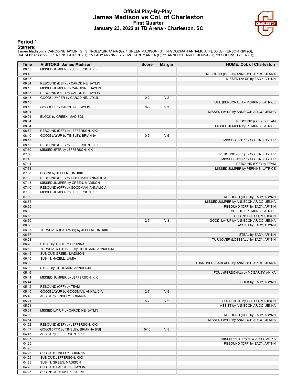## **Official Play-By-Play James Madison vs Col. of Charleston First Quarter January 23, 2022 at TD Arena - Charleston, SC**



### **Period 1**

#### **Starters:**

James Madison: 2 CARODINE,JAYLIN (G); 3 TINSLEY,BRIANNA (G); 4 GREEN,MADISON (G); 14 GOODMAN,ANNALICIA (F); 30 JEFFERSON,KIKI (G);<br>Col. of Charleston: 3 PERKINS,LATRICE (G); 15 EADY,ARYNN (F); 20 MCGARITY,ANIKA (F); 21 ANN

| Time           | <b>VISITORS: James Madison</b>          | <b>Score</b> | <b>Margin</b>  | <b>HOME: Col. of Charleston</b>            |
|----------------|-----------------------------------------|--------------|----------------|--------------------------------------------|
| 09:45          | MISSED JUMPER by JEFFERSON, KIKI        |              |                |                                            |
| 09:43          |                                         |              |                | REBOUND (DEF) by ANNECCHIARICO, JENNA      |
| 09:37          |                                         |              |                | MISSED LAYUP by EADY, ARYNN                |
| 09:34          | REBOUND (DEF) by CARODINE, JAYLIN       |              |                |                                            |
| 09:15          | MISSED JUMPER by CARODINE, JAYLIN       |              |                |                                            |
| 09:13          | REBOUND (OFF) by CARODINE, JAYLIN       |              |                |                                            |
| 09:13          | GOOD! JUMPER by CARODINE, JAYLIN        | $0 - 2$      | V <sub>2</sub> |                                            |
| 09:13          |                                         |              |                | FOUL (PERSONAL) by PERKINS, LATRICE        |
| 09:13          | GOOD! FT by CARODINE, JAYLIN            | $0 - 3$      | $V_3$          |                                            |
| 09:04          |                                         |              |                | MISSED LAYUP by ANNECCHIARICO, JENNA       |
| 09:04          | BLOCK by GREEN, MADISON                 |              |                |                                            |
| 09:04          |                                         |              |                | REBOUND (OFF) by TEAM                      |
| 08:54          |                                         |              |                | MISSED JUMPER by PERKINS, LATRICE          |
| 08:52          | REBOUND (DEF) by JEFFERSON, KIKI        |              |                |                                            |
| 08:40          | GOOD! LAYUP by TINSLEY, BRIANNA         | $0 - 5$      | V <sub>5</sub> |                                            |
| 08:17          |                                         |              |                | MISSED 3PTR by COLLINS, TYLER              |
| 08:13          | REBOUND (DEF) by JEFFERSON, KIKI        |              |                |                                            |
| 07:59          | MISSED 3PTR by JEFFERSON, KIKI          |              |                |                                            |
| 07:56          |                                         |              |                | REBOUND (DEF) by COLLINS, TYLER            |
| 07:45          |                                         |              |                | MISSED LAYUP by COLLINS, TYLER             |
| 07:44          |                                         |              |                | REBOUND (OFF) by TEAM                      |
| 07:38          |                                         |              |                | MISSED JUMPER by PERKINS, LATRICE          |
| 07:38          | BLOCK by JEFFERSON, KIKI                |              |                |                                            |
| 07:35          | REBOUND (DEF) by GOODMAN, ANNALICIA     |              |                |                                            |
| 07:13          | MISSED JUMPER by GREEN, MADISON         |              |                |                                            |
| 07:10          | REBOUND (OFF) by GOODMAN, ANNALICIA     |              |                |                                            |
| 07:05          | MISSED JUMPER by JEFFERSON, KIKI        |              |                |                                            |
| 07:02          |                                         |              |                | REBOUND (DEF) by EADY, ARYNN               |
| 06:55          |                                         |              |                | MISSED JUMPER by ANNECCHIARICO, JENNA      |
| 06:55          |                                         |              |                | REBOUND (OFF) by EADY, ARYNN               |
| 06:55          |                                         |              |                | SUB OUT: PERKINS, LATRICE                  |
| 06:55          |                                         |              |                | SUB IN: TAYLOR, MADISON                    |
| 06:50          |                                         | $2 - 5$      | $V_3$          | GOOD! LAYUP by ANNECCHIARICO, JENNA        |
| 06:50          |                                         |              |                | ASSIST by EADY, ARYNN                      |
| 06:37          | TURNOVER (BADPASS) by JEFFERSON, KIKI   |              |                |                                            |
| 06:37          |                                         |              |                | STEAL by EADY, ARYNN                       |
| 06:28          |                                         |              |                | TURNOVER (LOSTBALL) by EADY, ARYNN         |
| 06:28          | STEAL by TINSLEY, BRIANNA               |              |                |                                            |
| 06:15          | TURNOVER (TRAVEL) by GOODMAN, ANNALICIA |              |                |                                            |
| 06:15<br>06:15 | SUB OUT: GREEN, MADISON                 |              |                |                                            |
| 06:02          | SUB IN: HAZELL, JAMIA                   |              |                |                                            |
| 06:02          | STEAL by GOODMAN, ANNALICIA             |              |                | TURNOVER (BADPASS) by ANNECCHIARICO, JENNA |
| 05:46          |                                         |              |                | FOUL (PERSONAL) by MCGARITY, ANIKA         |
| 05:44          | MISSED JUMPER by JEFFERSON, KIKI        |              |                |                                            |
| 05:44          |                                         |              |                | BLOCK by EADY, ARYNN                       |
| 05:42          | REBOUND (OFF) by TEAM                   |              |                |                                            |
| 05:40          | GOOD! LAYUP by GOODMAN, ANNALICIA       | $2 - 7$      | V <sub>5</sub> |                                            |
| 05:40          | ASSIST by TINSLEY, BRIANNA              |              |                |                                            |
| 05:21          |                                         | $5 - 7$      | V <sub>2</sub> | GOOD! 3PTR by TAYLOR, MADISON              |
| 05:21          |                                         |              |                | ASSIST by ANNECCHIARICO, JENNA             |
| 05:01          | MISSED LAYUP by CARODINE, JAYLIN        |              |                |                                            |
| 04:59          |                                         |              |                | REBOUND (DEF) by EADY, ARYNN               |
| 04:54          |                                         |              |                | MISSED LAYUP by ANNECCHIARICO, JENNA       |
| 04:52          | REBOUND (DEF) by JEFFERSON, KIKI        |              |                |                                            |
| 04:47          | GOOD! 3PTR by TINSLEY, BRIANNA [FB]     | $5 - 10$     | V <sub>5</sub> |                                            |
| 04:47          | ASSIST by JEFFERSON, KIKI               |              |                |                                            |
| 04:27          |                                         |              |                | MISSED 3PTR by MCGARITY, ANIKA             |
| 04:25          |                                         |              |                | REBOUND (OFF) by EADY, ARYNN               |
| 04:25          |                                         |              |                |                                            |
| 04:25          | SUB OUT: TINSLEY, BRIANNA               |              |                |                                            |
| 04:25          | SUB OUT: JEFFERSON, KIKI                |              |                |                                            |
| 04:25          | SUB IN: GREEN, MADISON                  |              |                |                                            |
| 04:25          | SUB OUT: CARODINE, JAYLIN               |              |                |                                            |
| 04:25          | SUB IN: OUDERKIRK, STEPH                |              |                |                                            |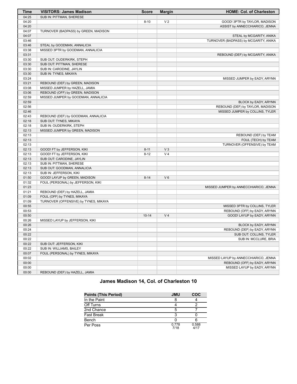| Time  | <b>VISITORS: James Madison</b>        | <b>Score</b> | <b>Margin</b>  | <b>HOME: Col. of Charleston</b>       |
|-------|---------------------------------------|--------------|----------------|---------------------------------------|
| 04:25 | SUB IN: PITTMAN, SHERESE              |              |                |                                       |
| 04:20 |                                       | $8 - 10$     | V <sub>2</sub> | GOOD! 3PTR by TAYLOR, MADISON         |
| 04:20 |                                       |              |                | ASSIST by ANNECCHIARICO, JENNA        |
| 04:07 | TURNOVER (BADPASS) by GREEN, MADISON  |              |                |                                       |
| 04:07 |                                       |              |                | STEAL by MCGARITY, ANIKA              |
| 03:46 |                                       |              |                | TURNOVER (BADPASS) by MCGARITY, ANIKA |
| 03:46 | STEAL by GOODMAN, ANNALICIA           |              |                |                                       |
| 03:38 | MISSED 3PTR by GOODMAN, ANNALICIA     |              |                |                                       |
| 03:31 |                                       |              |                | REBOUND (DEF) by MCGARITY, ANIKA      |
| 03:30 | SUB OUT: OUDERKIRK, STEPH             |              |                |                                       |
| 03:30 | SUB OUT: PITTMAN, SHERESE             |              |                |                                       |
| 03:30 | SUB IN: CARODINE, JAYLIN              |              |                |                                       |
| 03:30 | SUB IN: TYNES, MIKAYA                 |              |                |                                       |
| 03:24 |                                       |              |                | MISSED JUMPER by EADY, ARYNN          |
| 03:21 | REBOUND (DEF) by GREEN, MADISON       |              |                |                                       |
| 03:08 | MISSED JUMPER by HAZELL, JAMIA        |              |                |                                       |
| 03:06 | REBOUND (OFF) by GREEN, MADISON       |              |                |                                       |
| 02:59 | MISSED JUMPER by GOODMAN, ANNALICIA   |              |                |                                       |
| 02:59 |                                       |              |                | BLOCK by EADY, ARYNN                  |
| 02:56 |                                       |              |                | REBOUND (DEF) by TAYLOR, MADISON      |
| 02:46 |                                       |              |                | MISSED JUMPER by COLLINS, TYLER       |
| 02:43 | REBOUND (DEF) by GOODMAN, ANNALICIA   |              |                |                                       |
| 02:18 | SUB OUT: TYNES, MIKAYA                |              |                |                                       |
| 02:18 | SUB IN: OUDERKIRK, STEPH              |              |                |                                       |
| 02:13 | MISSED JUMPER by GREEN, MADISON       |              |                |                                       |
| 02:13 |                                       |              |                | REBOUND (DEF) by TEAM                 |
| 02:13 |                                       |              |                | FOUL (TECH) by TEAM                   |
| 02:13 |                                       |              |                | TURNOVER (OFFENSIVE) by TEAM          |
| 02:13 | GOOD! FT by JEFFERSON, KIKI           | $8 - 11$     | V <sub>3</sub> |                                       |
| 02:13 | GOOD! FT by JEFFERSON, KIKI           | $8 - 12$     | V <sub>4</sub> |                                       |
| 02:13 | SUB OUT: CARODINE, JAYLIN             |              |                |                                       |
| 02:13 | SUB IN: PITTMAN, SHERESE              |              |                |                                       |
| 02:13 | SUB OUT: GOODMAN, ANNALICIA           |              |                |                                       |
| 02:13 | SUB IN: JEFFERSON, KIKI               |              |                |                                       |
| 01:50 | GOOD! LAYUP by GREEN, MADISON         | $8 - 14$     | $V_6$          |                                       |
| 01:32 | FOUL (PERSONAL) by JEFFERSON, KIKI    |              |                |                                       |
| 01:23 |                                       |              |                | MISSED JUMPER by ANNECCHIARICO, JENNA |
| 01:21 | REBOUND (DEF) by HAZELL, JAMIA        |              |                |                                       |
| 01:09 | FOUL (OFF) by TYNES, MIKAYA           |              |                |                                       |
| 01:09 | TURNOVER (OFFENSIVE) by TYNES, MIKAYA |              |                |                                       |
| 00:55 |                                       |              |                | MISSED 3PTR by COLLINS, TYLER         |
| 00:53 |                                       |              |                | REBOUND (OFF) by EADY, ARYNN          |
| 00:50 |                                       | $10 - 14$    | V <sub>4</sub> | GOOD! LAYUP by EADY, ARYNN            |
| 00:26 | MISSED LAYUP by JEFFERSON, KIKI       |              |                |                                       |
| 00:26 |                                       |              |                | BLOCK by EADY, ARYNN                  |
| 00:24 |                                       |              |                | REBOUND (DEF) by EADY, ARYNN          |
| 00:22 |                                       |              |                | SUB OUT: COLLINS, TYLER               |
| 00:22 |                                       |              |                | SUB IN: MCCLURE, BRIA                 |
| 00:22 | SUB OUT: JEFFERSON, KIKI              |              |                |                                       |
| 00:22 | SUB IN: WILLIAMS, BAILEY              |              |                |                                       |
| 00:07 | FOUL (PERSONAL) by TYNES, MIKAYA      |              |                |                                       |
| 00:02 |                                       |              |                | MISSED LAYUP by ANNECCHIARICO, JENNA  |
| 00:00 |                                       |              |                | REBOUND (OFF) by EADY, ARYNN          |
| 00:00 |                                       |              |                | MISSED LAYUP by EADY, ARYNN           |
| 00:00 | REBOUND (DEF) by HAZELL, JAMIA        |              |                |                                       |
|       |                                       |              |                |                                       |

# **James Madison 14, Col. of Charleston 10**

| Points (This Period) | <b>JMU</b>    | <b>COC</b>    |
|----------------------|---------------|---------------|
| In the Paint         |               |               |
| Off Turns            |               |               |
| 2nd Chance           | 5             |               |
| Fast Break           |               |               |
| Bench                |               |               |
| Per Poss             | 0.778<br>7/18 | 0.588<br>4/17 |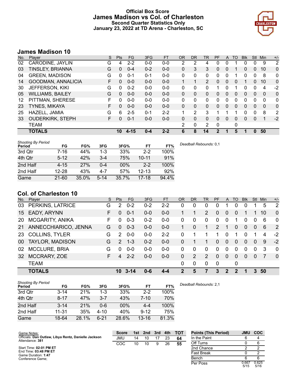# **Official Box Score James Madison vs Col. of Charleston Second Quarter Statistics Only January 23, 2022 at TD Arena - Charleston, SC**



# **James Madison 10**

| No. | Plaver                  | S | <b>Pts</b> | <b>FG</b> | 3FG     | <b>FT</b> | 0R       | <b>DR</b> | TR | <b>PF</b>      | A        | TO | <b>B</b> lk | Stl            | Min      | $+/-$          |
|-----|-------------------------|---|------------|-----------|---------|-----------|----------|-----------|----|----------------|----------|----|-------------|----------------|----------|----------------|
| 02  | CARODINE, JAYLIN        | G | 4          | $2 - 2$   | $0 - 0$ | $0 - 0$   | 2        | 2         | 4  | 0              | 0        |    | 0           | 0              | 9        | 2              |
| 03  | TINSLEY, BRIANNA        | G | 0          | $0 - 4$   | $0 - 2$ | $0 - 0$   | 0        | 3         | 3  | 0              | 0        |    | 0           | $\overline{0}$ | 10       | 0              |
| 04  | <b>GREEN, MADISON</b>   | G | 0          | $0 - 1$   | $0 - 1$ | $0 - 0$   | 0        | 0         | 0  | 0              | 0        |    | O           | 0              | 8        | 0              |
| 14  | GOODMAN, ANNALICIA      | F | 0          | $0 - 0$   | $0 - 0$ | $0 - 0$   | 1        |           | 2  | $\Omega$       | 0        | 0  |             | 0              | 10       | 0              |
| 30  | <b>JEFFERSON, KIKI</b>  | G | 0          | $0 - 2$   | $0 - 0$ | $0 - 0$   | 0        | 0         | 0  | 1              | 0        |    | 0           | 0              | 4        | $-2$           |
| 05  | <b>WILLIAMS, BAILEY</b> | G | $\Omega$   | $0 - 0$   | $0 - 0$ | $0 - 0$   | $\Omega$ | $\Omega$  | 0  | $\Omega$       | $\Omega$ | 0  | 0           | $\Omega$       | $\Omega$ | 0              |
| 12  | PITTMAN, SHERESE        | F | 0          | $0 - 0$   | $0 - 0$ | $0 - 0$   | 0        | 0         | 0  | 0              | 0        | 0  | 0           | 0              | 0        | 0              |
| 23  | <b>TYNES, MIKAYA</b>    | F | 0          | $0 - 0$   | $0 - 0$ | $0 - 0$   | $\Omega$ | 0         | 0  | $\Omega$       | $\Omega$ | 0  | 0           | 0              | 0        | 0              |
| 25  | HAZELL, JAMIA           | G | 6          | 2-5       | $0 - 1$ | $2 - 2$   | 4        | 2         | 3  |                |          |    | 0           | 0              | 8        | $\overline{2}$ |
| 33  | <b>OUDERKIRK, STEPH</b> | F | 0          | $0 - 1$   | $0 - 0$ | $0 - 0$   | $\Omega$ | 0         | 0  | $\Omega$       | 0        | 0  | 0           | 0              | 1        | $-2$           |
|     | <b>TEAM</b>             |   |            |           |         |           | 2        | 0         | 2  | 0              |          | 0  |             |                |          |                |
|     | <b>TOTALS</b>           |   | 10         | $4 - 15$  | $0 - 4$ | $2 - 2$   | 6        | 8         | 14 | $\mathfrak{p}$ |          | 5  |             | <sup>0</sup>   | 50       |                |

| <b>Shooting By Period</b><br>Period | FG        | FG%   | 3FG      | 3FG%  | FT        | FT%   |
|-------------------------------------|-----------|-------|----------|-------|-----------|-------|
| 3rd Qtr                             | 7-16      | 44%   | $1 - 3$  | 33%   | $2-2$     | 100%  |
| 4th Qtr                             | $5 - 12$  | 42%   | $3 - 4$  | 75%   | $10 - 11$ | 91%   |
| 2nd Half                            | $4 - 15$  | 27%   | 0-4      | 00%   | $2 - 2$   | 100%  |
| 2nd Half                            | $12 - 28$ | 43%   | 4-7      | 57%   | $12 - 13$ | 92%   |
| Game                                | $21 - 60$ | 35.0% | $5 - 14$ | 35.7% | 17-18     | 94.4% |

# **Col. of Charleston 10**

| No. | Player                 | S. | <b>Pts</b>    | FG.      | 3FG     | <b>FT</b> | <b>OR</b> | DR            | TR.                   | PF             | A              | TO       | <b>BIK</b> | Stl            | Min | $+/-$          |
|-----|------------------------|----|---------------|----------|---------|-----------|-----------|---------------|-----------------------|----------------|----------------|----------|------------|----------------|-----|----------------|
| 03  | PERKINS, LATRICE       | G  | 2             | $0 - 2$  | $0 - 2$ | $2 - 2$   | 0         | 0             | $\Omega$              | 0              |                | 0        | 0          |                | 5   | $\overline{2}$ |
| 15  | <b>EADY, ARYNN</b>     | F  | $\Omega$      | $0 - 1$  | $0 - 0$ | $0 - 0$   |           |               | $\mathbf{2}^{\prime}$ | $\Omega$       | $\overline{0}$ | 0        |            |                | 10  | $\mathbf{0}$   |
| 20  | <b>MCGARITY, ANIKA</b> | F  | 0             | $0 - 3$  | $0 - 2$ | $0-0$     | 0         | $\mathbf 0$   | $\Omega$              | 0              | 0              |          | $\Omega$   | 0              | 6   | $\mathbf{0}$   |
| 21  | ANNECCHIARICO, JENNA   | G  | 0             | $0 - 3$  | $0 - 0$ | $0-0$     |           | 0             |                       | $\overline{2}$ | -1             | 0        | $\Omega$   | $\overline{0}$ | 6   | 2              |
| 23  | <b>COLLINS, TYLER</b>  | G  | $\mathcal{P}$ | $0 - 0$  | $0-0$   | $2 - 2$   | 0         |               |                       | 1              | 0              |          | $\Omega$   |                | 4   | $-2$           |
| 00. | <b>TAYLOR, MADISON</b> | G  | $\mathcal{P}$ | $1 - 3$  | $0 - 2$ | $0-0$     | 0         |               |                       | $\Omega$       | $\Omega$       | 0        | $\Omega$   | $\overline{0}$ | 9   | $-2$           |
| 02  | <b>MCCLURE, BRIA</b>   | G  | $\Omega$      | $0 - 0$  | $0 - 0$ | $0-0$     | 0         | $\Omega$      | $\Omega$              | $\Omega$       | 0              | $\Omega$ | $\Omega$   | $\Omega$       | 3   | $\Omega$       |
| 32  | MCCRARY, ZOE           | F. | 4             | $2 - 2$  | $0 - 0$ | $0 - 0$   | 0         | $\mathcal{P}$ | $\mathcal{P}$         | $\Omega$       | $\Omega$       | $\Omega$ | $\Omega$   | $\Omega$       | 7   | $\Omega$       |
|     | <b>TEAM</b>            |    |               |          |         |           | 0         | 0             | $\Omega$              | $\mathbf{0}$   |                | 0        |            |                |     |                |
|     | <b>TOTALS</b>          |    | 10            | $3 - 14$ | Ი-Ნ     | 4-4       | 2         | 5             |                       | 3              | 2              | 2        |            | 3              | 50  |                |

| <b>Shooting By Period</b><br>Period | FG        | FG%   | 3FG     | 3FG%  | FT        | FT%   |
|-------------------------------------|-----------|-------|---------|-------|-----------|-------|
| 3rd Qtr                             | $3 - 14$  | 21%   | $1 - 3$ | 33%   | $2 - 2$   | 100%  |
| 4th Qtr                             | $8 - 17$  | 47%   | $3 - 7$ | 43%   | $7 - 10$  | 70%   |
| 2nd Half                            | $3 - 14$  | 21%   | 0-6     | 00%   | 4-4       | 100%  |
| 2nd Half                            | $11 - 31$ | 35%   | 4-10    | 40%   | $9 - 12$  | 75%   |
| Game                                | 18-64     | 28.1% | հ-21    | 28.6% | $13 - 16$ | 81.3% |

*Deadball Rebounds:* 2,1

| Game Notes:                                                             | <b>Score</b> | 1st | 2nd | 3rd | 4th | <b>TOT</b> | <b>Points (This Period)</b> | <b>JMU</b>    | <b>COC</b>    |
|-------------------------------------------------------------------------|--------------|-----|-----|-----|-----|------------|-----------------------------|---------------|---------------|
| Officials: Dan Outlaw, Libya Rentz, Danielle Jackson<br>Attendance: 381 | JMU          | 14  | 10  |     | 23  | 64         | In the Paint                |               |               |
|                                                                         | COC          | 10  | 10  | 9   | 26  | 55         | Off Turns                   |               |               |
| Start Time: 02:01 PM ET                                                 |              |     |     |     |     |            | 2nd Chance                  |               |               |
| End Time: 03:48 PM ET<br>Game Duration: 1:47                            |              |     |     |     |     |            | <b>Fast Break</b>           |               |               |
| Conference Game:                                                        |              |     |     |     |     |            | Bench                       |               |               |
|                                                                         |              |     |     |     |     |            | Per Poss                    | 0.667<br>5/15 | 0.625<br>5/16 |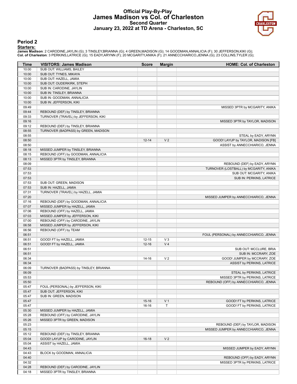## **Official Play-By-Play James Madison vs Col. of Charleston Second Quarter January 23, 2022 at TD Arena - Charleston, SC**



**Period 2**

**Starters:**

James Madison: 2 CARODINE,JAYLIN (G); 3 TINSLEY,BRIANNA (G); 4 GREEN,MADISON (G); 14 GOODMAN,ANNALICIA (F); 30 JEFFERSON,KIKI (G);<br>Col. of Charleston: 3 PERKINS,LATRICE (G); 15 EADY,ARYNN (F); 20 MCGARITY,ANIKA (F); 21 ANN

| Time           | <b>VISITORS: James Madison</b>                     | <b>Score</b> | <b>Margin</b>  | <b>HOME: Col. of Charleston</b>         |
|----------------|----------------------------------------------------|--------------|----------------|-----------------------------------------|
| 10:00          | SUB OUT: WILLIAMS, BAILEY                          |              |                |                                         |
| 10:00          | SUB OUT: TYNES, MIKAYA                             |              |                |                                         |
| 10:00          | SUB OUT: HAZELL, JAMIA                             |              |                |                                         |
| 10:00          | SUB OUT: OUDERKIRK, STEPH                          |              |                |                                         |
| 10:00          | SUB IN: CARODINE, JAYLIN                           |              |                |                                         |
| 10:00          | SUB IN: TINSLEY, BRIANNA                           |              |                |                                         |
| 10:00          | SUB IN: GOODMAN, ANNALICIA                         |              |                |                                         |
| 10:00          | SUB IN: JEFFERSON, KIKI                            |              |                |                                         |
| 09:49          |                                                    |              |                | MISSED 3PTR by MCGARITY, ANIKA          |
| 09:44          | REBOUND (DEF) by TINSLEY, BRIANNA                  |              |                |                                         |
| 09:33          | TURNOVER (TRAVEL) by JEFFERSON, KIKI               |              |                |                                         |
| 09:16          |                                                    |              |                | MISSED 3PTR by TAYLOR, MADISON          |
| 09:12          | REBOUND (DEF) by TINSLEY, BRIANNA                  |              |                |                                         |
| 08:55          | TURNOVER (BADPASS) by GREEN, MADISON               |              |                |                                         |
| 08:55          |                                                    |              |                | STEAL by EADY, ARYNN                    |
| 08:50          |                                                    | $12 - 14$    | V <sub>2</sub> | GOOD! LAYUP by TAYLOR, MADISON [FB]     |
| 08:50          |                                                    |              |                | ASSIST by ANNECCHIARICO, JENNA          |
| 08:18          | MISSED JUMPER by TINSLEY, BRIANNA                  |              |                |                                         |
| 08:15          | REBOUND (OFF) by GOODMAN, ANNALICIA                |              |                |                                         |
| 08:13          | MISSED 3PTR by TINSLEY, BRIANNA                    |              |                |                                         |
| 08:09          |                                                    |              |                | REBOUND (DEF) by EADY, ARYNN            |
| 07:53          |                                                    |              |                | TURNOVER (LOSTBALL) by MCGARITY, ANIKA  |
| 07:53          |                                                    |              |                | SUB OUT: MCGARITY, ANIKA                |
| 07:53          |                                                    |              |                | SUB IN: PERKINS, LATRICE                |
| 07:53          | SUB OUT: GREEN, MADISON                            |              |                |                                         |
| 07:53          | SUB IN: HAZELL, JAMIA                              |              |                |                                         |
| 07:31          | TURNOVER (TRAVEL) by HAZELL, JAMIA                 |              |                |                                         |
| 07:20          |                                                    |              |                | MISSED JUMPER by ANNECCHIARICO, JENNA   |
| 07:16          | REBOUND (DEF) by GOODMAN, ANNALICIA                |              |                |                                         |
| 07:07          | MISSED JUMPER by HAZELL, JAMIA                     |              |                |                                         |
| 07:06          | REBOUND (OFF) by HAZELL, JAMIA                     |              |                |                                         |
| 07:03          | MISSED JUMPER by JEFFERSON, KIKI                   |              |                |                                         |
| 07:00          | REBOUND (OFF) by CARODINE, JAYLIN                  |              |                |                                         |
| 06:58          | MISSED JUMPER by JEFFERSON, KIKI                   |              |                |                                         |
| 06:56          | REBOUND (OFF) by TEAM                              |              |                |                                         |
| 06:51          |                                                    |              |                | FOUL (PERSONAL) by ANNECCHIARICO, JENNA |
| 06:51          | GOOD! FT by HAZELL, JAMIA                          | $12 - 15$    | $V_3$          |                                         |
| 06:51          | GOOD! FT by HAZELL, JAMIA                          | $12 - 16$    | V <sub>4</sub> |                                         |
| 06:51          |                                                    |              |                | SUB OUT: MCCLURE, BRIA                  |
| 06:51          |                                                    |              |                | SUB IN: MCCRARY, ZOE                    |
| 06:34          |                                                    | 14-16        | V <sub>2</sub> | GOOD! JUMPER by MCCRARY, ZOE            |
| 06:34          |                                                    |              |                | ASSIST by PERKINS, LATRICE              |
| 06:09          | TURNOVER (BADPASS) by TINSLEY, BRIANNA             |              |                |                                         |
| 06:09          |                                                    |              |                | STEAL by PERKINS, LATRICE               |
| 05:53          |                                                    |              |                | MISSED 3PTR by PERKINS, LATRICE         |
| 05:50          |                                                    |              |                | REBOUND (OFF) by ANNECCHIARICO, JENNA   |
| 05:47<br>05:47 | FOUL (PERSONAL) by JEFFERSON, KIKI                 |              |                |                                         |
| 05:47          | SUB OUT: JEFFERSON, KIKI<br>SUB IN: GREEN, MADISON |              |                |                                         |
| 05:47          |                                                    | $15 - 16$    | V <sub>1</sub> | GOOD! FT by PERKINS, LATRICE            |
| 05:47          |                                                    | $16-16$      | $\mathsf T$    | GOOD! FT by PERKINS, LATRICE            |
| 05:30          | MISSED JUMPER by HAZELL, JAMIA                     |              |                |                                         |
| 05:28          | REBOUND (OFF) by CARODINE, JAYLIN                  |              |                |                                         |
| 05:26          | MISSED 3PTR by GREEN, MADISON                      |              |                |                                         |
| 05:23          |                                                    |              |                | REBOUND (DEF) by TAYLOR, MADISON        |
| 05:15          |                                                    |              |                | MISSED JUMPER by ANNECCHIARICO, JENNA   |
| 05:12          | REBOUND (DEF) by TINSLEY, BRIANNA                  |              |                |                                         |
| 05:04          | GOOD! LAYUP by CARODINE, JAYLIN                    | $16-18$      | V <sub>2</sub> |                                         |
| 05:04          | ASSIST by HAZELL, JAMIA                            |              |                |                                         |
| 04:43          |                                                    |              |                | MISSED JUMPER by EADY, ARYNN            |
| 04:43          | BLOCK by GOODMAN, ANNALICIA                        |              |                |                                         |
| 04:40          |                                                    |              |                | REBOUND (OFF) by EADY, ARYNN            |
| 04:32          |                                                    |              |                | MISSED 3PTR by PERKINS, LATRICE         |
| 04:28          | REBOUND (DEF) by CARODINE, JAYLIN                  |              |                |                                         |
| 04:18          | MISSED 3PTR by TINSLEY, BRIANNA                    |              |                |                                         |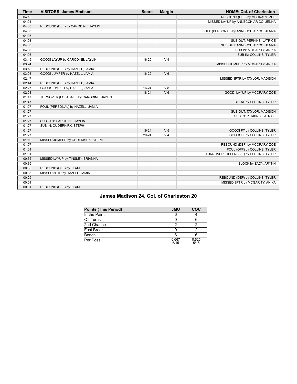| <b>Time</b> | <b>VISITORS: James Madison</b>          | <b>Score</b> | <b>Margin</b>  | <b>HOME: Col. of Charleston</b>         |
|-------------|-----------------------------------------|--------------|----------------|-----------------------------------------|
| 04:15       |                                         |              |                | REBOUND (DEF) by MCCRARY, ZOE           |
| 04:04       |                                         |              |                | MISSED LAYUP by ANNECCHIARICO, JENNA    |
| 04:03       | REBOUND (DEF) by CARODINE, JAYLIN       |              |                |                                         |
| 04:03       |                                         |              |                | FOUL (PERSONAL) by ANNECCHIARICO, JENNA |
| 04:03       |                                         |              |                |                                         |
| 04:03       |                                         |              |                | SUB OUT: PERKINS, LATRICE               |
| 04:03       |                                         |              |                | SUB OUT: ANNECCHIARICO, JENNA           |
| 04:03       |                                         |              |                | SUB IN: MCGARITY, ANIKA                 |
| 04:03       |                                         |              |                | SUB IN: COLLINS, TYLER                  |
| 03:49       | GOOD! LAYUP by CARODINE, JAYLIN         | 16-20        | V <sub>4</sub> |                                         |
| 03:24       |                                         |              |                | MISSED JUMPER by MCGARITY, ANIKA        |
| 03:18       | REBOUND (DEF) by HAZELL, JAMIA          |              |                |                                         |
| 03:08       | GOOD! JUMPER by HAZELL, JAMIA           | $16 - 22$    | $V_6$          |                                         |
| 02:47       |                                         |              |                | MISSED 3PTR by TAYLOR, MADISON          |
| 02:44       | REBOUND (DEF) by HAZELL, JAMIA          |              |                |                                         |
| 02:27       | GOOD! JUMPER by HAZELL, JAMIA           | $16 - 24$    | V8             |                                         |
| 02:08       |                                         | $18-24$      | V <sub>6</sub> | GOOD! LAYUP by MCCRARY, ZOE             |
| 01:47       | TURNOVER (LOSTBALL) by CARODINE, JAYLIN |              |                |                                         |
| 01:47       |                                         |              |                | STEAL by COLLINS, TYLER                 |
| 01:27       | FOUL (PERSONAL) by HAZELL, JAMIA        |              |                |                                         |
| 01:27       |                                         |              |                | SUB OUT: TAYLOR, MADISON                |
| 01:27       |                                         |              |                | SUB IN: PERKINS, LATRICE                |
| 01:27       | SUB OUT: CARODINE, JAYLIN               |              |                |                                         |
| 01:27       | SUB IN: OUDERKIRK, STEPH                |              |                |                                         |
| 01:27       |                                         | 19-24        | V <sub>5</sub> | GOOD! FT by COLLINS, TYLER              |
| 01:27       |                                         | $20 - 24$    | V <sub>4</sub> | GOOD! FT by COLLINS, TYLER              |
| 01:10       | MISSED JUMPER by OUDERKIRK, STEPH       |              |                |                                         |
| 01:07       |                                         |              |                | REBOUND (DEF) by MCCRARY, ZOE           |
| 01:01       |                                         |              |                | FOUL (OFF) by COLLINS, TYLER            |
| 01:01       |                                         |              |                | TURNOVER (OFFENSIVE) by COLLINS, TYLER  |
| 00:35       | MISSED LAYUP by TINSLEY, BRIANNA        |              |                |                                         |
| 00:35       |                                         |              |                | BLOCK by EADY, ARYNN                    |
| 00:35       | REBOUND (OFF) by TEAM                   |              |                |                                         |
| 00:33       | MISSED 3PTR by HAZELL, JAMIA            |              |                |                                         |
| 00:29       |                                         |              |                | REBOUND (DEF) by COLLINS, TYLER         |
| 00:01       |                                         |              |                | MISSED 3PTR by MCGARITY, ANIKA          |
| 00:01       | REBOUND (DEF) by TEAM                   |              |                |                                         |

# **James Madison 24, Col. of Charleston 20**

| <b>Points (This Period)</b> | <b>JMU</b>    | COC           |
|-----------------------------|---------------|---------------|
| In the Paint                |               |               |
| Off Turns                   |               |               |
| 2nd Chance                  |               |               |
| <b>Fast Break</b>           |               |               |
| Bench                       |               |               |
| Per Poss                    | 0.667<br>5/15 | 0.625<br>5/16 |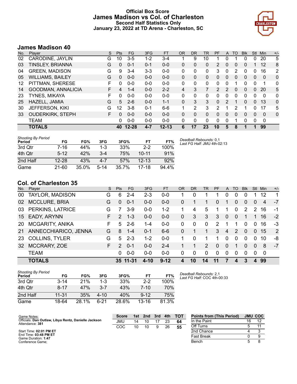# **Official Box Score James Madison vs Col. of Charleston Second Half Statistics Only January 23, 2022 at TD Arena - Charleston, SC**



# **James Madison 40**

| No. | Player                  | S  | <b>Pts</b> | <b>FG</b> | 3FG     | <b>FT</b> | 0R       | <b>DR</b> | TR | <b>PF</b>     | A              | TO | <b>B</b> lk | Stl      | Min | $+/-$          |
|-----|-------------------------|----|------------|-----------|---------|-----------|----------|-----------|----|---------------|----------------|----|-------------|----------|-----|----------------|
| 02  | CARODINE, JAYLIN        | G  | 10         | $3 - 5$   | 1-2     | $3 - 4$   |          | 9         | 10 |               | 0              |    | 0           | 0        | 20  | 5              |
| 03  | TINSLEY, BRIANNA        | G  | 0          | $0 - 1$   | $0 - 1$ | $0 - 0$   | 0        | 0         | 0  | 2             | 0              | 0  | 0           |          | 12  | 8              |
| 04  | <b>GREEN, MADISON</b>   | G  | 9          | $3 - 4$   | $3 - 3$ | $0 - 0$   | 0        | 0         | 0  | 3             | 0              | 2  | 0           | 0        | 16  | $\overline{2}$ |
| 05  | <b>WILLIAMS, BAILEY</b> | G  | 0          | $0 - 0$   | $0 - 0$ | $0 - 0$   | $\Omega$ | 0         | 0  | $\Omega$      | 0              | 0  | 0           | 0        | 0   | 0              |
| 12  | PITTMAN, SHERESE        | F  | 0          | $0 - 0$   | $0 - 0$ | $0 - 0$   | 0        | $\Omega$  | 0  | 0             | 0              |    | 0           | 0        | 1   | 0              |
| 14  | GOODMAN, ANNALICIA      | F. | 4          | $1 - 4$   | $0 - 0$ | $2 - 2$   | 4        | 3         | 7  | $\mathcal{P}$ | $\overline{2}$ | 0  | 0           | $\Omega$ | 20  | 5              |
| 23  | TYNES, MIKAYA           | F  | 0          | $0 - 0$   | $0 - 0$ | $0 - 0$   | 0        | $\Omega$  | 0  | 0             | 0              | 0  | 0           | 0        | 0   | 0              |
| 25  | HAZELL, JAMIA           | G  | 5          | $2-6$     | $0 - 0$ | $1 - 1$   | $\Omega$ | 3         | 3  | 0             | 2              | 1  | 0           | $\Omega$ | 13  | 0              |
| 30  | <b>JEFFERSON, KIKI</b>  | G  | 12         | $3 - 8$   | $0 - 1$ | $6 - 6$   |          | 2         | 3  | 2             |                | 2  |             | 0        | 17  | 5              |
| 33  | <b>OUDERKIRK, STEPH</b> | F  | 0          | $0 - 0$   | $0 - 0$ | $0 - 0$   | 0        | 0         | 0  | $\Omega$      | 0              | 0  | 0           | $\Omega$ | 0   | 0              |
|     | <b>TEAM</b>             |    | 0          | $0 - 0$   | $0 - 0$ | $0 - 0$   | 0        | 0         | 0  | 0             | 0              |    | 0           | 0        | 0   |                |
|     | <b>TOTALS</b>           |    | 40         | $12 - 28$ | $4 - 7$ | $12 - 13$ | 6        | 17        | 23 | 10            | 5              | 8  |             |          | 99  |                |

| <b>Shooting By Period</b><br>Period | FG        | FG%   | 3FG      | 3FG%  | FT        | FT%   | Deadball Rebounds: 0.1<br>Last FG Half: JMU 4th-02:13 |
|-------------------------------------|-----------|-------|----------|-------|-----------|-------|-------------------------------------------------------|
| 3rd Qtr                             | 7-16      | 44%   | 1-3      | 33%   | $2 - 2$   | 100%  |                                                       |
| 4th Qtr                             | $5 - 12$  | 42%   | $3-4$    | 75%   | $10 - 11$ | 91%   |                                                       |
| 2nd Half                            | $12 - 28$ | 43%   | $4 - 7$  | 57%   | $12 - 13$ | 92%   |                                                       |
| Game                                | $21 - 60$ | 35.0% | $5 - 14$ | 35.7% | 17-18     | 94.4% |                                                       |

# **Col. of Charleston 35**

| No.       | Player                 | S  | <b>Pts</b>    | FG       | 3FG     | <b>FT</b> | <b>OR</b>      | <b>DR</b> | <b>TR</b> | <b>PF</b>     | $\mathsf{A}$   | TO       | <b>Blk</b> | Stl      | Min. | $+/-$ |
|-----------|------------------------|----|---------------|----------|---------|-----------|----------------|-----------|-----------|---------------|----------------|----------|------------|----------|------|-------|
| 00        | <b>TAYLOR, MADISON</b> | G  | 6             | $2 - 4$  | $2 - 3$ | $0 - 0$   |                | 0         |           |               | 0              | 0        | 0          |          | 12   | 1     |
| 02        | <b>MCCLURE, BRIA</b>   | G  | $\Omega$      | $0 - 1$  | $0 - 0$ | $0 - 0$   | 0              |           |           | 0             | 1              | $\Omega$ | 0          | 0        | 4    | $-7$  |
| 03        | PERKINS, LATRICE       | G  |               | $3-9$    | $0 - 0$ | $1 - 2$   | 1              | 4         | 5         | 1             | 1              | 0        | 2          | 2        | 16   | $-1$  |
| 15        | <b>EADY, ARYNN</b>     | F. | $\mathcal{P}$ | $1 - 3$  | $0 - 0$ | $0 - 0$   | $\Omega$       | 3         | 3         | 3             | $\Omega$       | 0        |            |          | 16   | $-2$  |
| <b>20</b> | <b>MCGARITY, ANIKA</b> | F. | 5             | $2-6$    | $1 - 4$ | $0-0$     | 0              | 0         | $\Omega$  | $\mathcal{P}$ |                |          | 0          | $\Omega$ | 16   | -3    |
| 21        | ANNECCHIARICO, JENNA   | G  | 8             | $1 - 4$  | $0 - 1$ | $6 - 6$   | $\Omega$       |           |           | 3             | 4              | 2        | $\Omega$   | $\Omega$ | 15   | 2     |
| 23        | <b>COLLINS, TYLER</b>  | G  | 5             | $2 - 3$  | $1 - 2$ | $0 - 0$   | 1              | $\Omega$  | 1         | 1.            | $\mathbf{0}$   | $\Omega$ | $\Omega$   | $\Omega$ | 10   | -8    |
| 32        | MCCRARY, ZOE           | F. | 2             | $0 - 1$  | $0-0$   | $2 - 4$   |                |           | 2         | $\Omega$      | $\overline{0}$ |          | 0          | $\Omega$ | 8    | $-7$  |
|           | <b>TEAM</b>            |    | 0             | $0 - 0$  | $0-0$   | $0 - 0$   | 0              | 0         | $\Omega$  | $\Omega$      | $\Omega$       | $\Omega$ | $\Omega$   | $\Omega$ | 0    |       |
|           | <b>TOTALS</b>          |    |               | 35 11-31 | 4-10    | $9 - 12$  | $\overline{4}$ | 10        | 14        | 11            |                | 4        |            |          | 99   |       |

| <b>Shooting By Period</b><br>Period | FG        | FG%   | 3FG      | 3FG%  | FT       | FT%   |
|-------------------------------------|-----------|-------|----------|-------|----------|-------|
| 3rd Qtr                             | $3 - 14$  | 21%   | 1-3      | 33%   | $2-2$    | 100%  |
| 4th Qtr                             | $8 - 17$  | 47%   | $3 - 7$  | 43%   | 7-10     | 70%   |
| 2nd Half                            | $11 - 31$ | 35%   | $4 - 10$ | 40%   | $9 - 12$ | 75%   |
| Game                                | 18-64     | 28.1% | հ-21     | 28.6% | 13-16    | 81.3% |

*Deadball Rebounds:* 2,1 *Last FG Half:* COC 4th-00:33

| Game Notes:                                                             | <b>Score</b> |    | 1st 2nd | 3rd | 4th | <b>- тот</b> | <b>Points from (This Period)</b> |    | <b>JMU COC</b> |
|-------------------------------------------------------------------------|--------------|----|---------|-----|-----|--------------|----------------------------------|----|----------------|
| Officials: Dan Outlaw, Libya Rentz, Danielle Jackson<br>Attendance: 381 | JMU          | 14 |         |     | 23  | 64           | In the Paint                     | 16 | 12             |
|                                                                         | COC          | 10 |         | 9   | 26  | 55           | Off Turns                        |    |                |
| Start Time: 02:01 PM ET                                                 |              |    |         |     |     |              | 2nd Chance                       |    |                |
| End Time: 03:48 PM ET<br>Game Duration: 1:47                            |              |    |         |     |     |              | Fast Break                       |    |                |
| Conference Game;                                                        |              |    |         |     |     |              | Bench                            |    |                |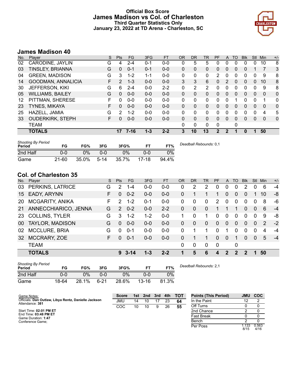# **Official Box Score James Madison vs Col. of Charleston Third Quarter Statistics Only January 23, 2022 at TD Arena - Charleston, SC**



# **James Madison 40**

| No. | Plaver                  | S  | <b>Pts</b>    | <b>FG</b> | 3FG     | <b>FT</b> | <b>OR</b> | <b>DR</b> | TR | <b>PF</b>    | A        | TO | <b>Blk</b> | Stl      | Min      | $+/-$ |
|-----|-------------------------|----|---------------|-----------|---------|-----------|-----------|-----------|----|--------------|----------|----|------------|----------|----------|-------|
| 02  | CARODINE, JAYLIN        | G  | 4             | $2 - 4$   | $0 - 1$ | $0 - 0$   | 0         | 5         | 5  | 0            | 0        | 0  | 0          | 0        | 10       | 8     |
| 03  | TINSLEY, BRIANNA        | G  | 0             | $0 - 1$   | $0 - 1$ | $0 - 0$   | 0         | 0         | 0  | $\Omega$     | 0        | 0  | 0          |          | 7        | 3     |
| 04  | <b>GREEN, MADISON</b>   | G  | 3             | $1 - 2$   | 1-1     | $0 - 0$   | 0         | $\Omega$  | 0  | 2            | 0        | 0  | 0          | 0        | 9        | 8     |
| 14  | GOODMAN, ANNALICIA      | F. | $\mathcal{P}$ | $1 - 3$   | $0 - 0$ | $0 - 0$   | 3         | 3         | 6  | $\mathbf{0}$ | 2        | 0  | 0          | $\Omega$ | 10       | 8     |
| 30  | JEFFERSON, KIKI         | G  | 6             | $2 - 4$   | $0 - 0$ | $2 - 2$   | 0         | 2         | 2  | 0            | 0        | 0  | 0          | 0        | 9        | 8     |
| 05  | <b>WILLIAMS, BAILEY</b> | G  | $\mathbf{0}$  | $0 - 0$   | $0 - 0$ | $0 - 0$   | 0         | 0         | 0  | $\Omega$     | $\Omega$ | 0  | 0          | 0        | 0        | 0     |
| 12  | PITTMAN, SHERESE        | F  | 0             | $0 - 0$   | $0 - 0$ | $0 - 0$   | 0         | 0         | 0  | 0            | 0        |    | 0          | 0        | 1        | 0     |
| 23  | <b>TYNES, MIKAYA</b>    | F  | 0             | $0 - 0$   | $0 - 0$ | $0 - 0$   | $\Omega$  | 0         | 0  | $\Omega$     | $\Omega$ | 0  | 0          | 0        | 0        | 0     |
| 25  | HAZELL, JAMIA           | G  | 2             | $1 - 2$   | $0 - 0$ | $0 - 0$   | 0         | 0         | 0  | 0            | 0        | 0  | 0          | 0        | 4        | 5     |
| 33  | <b>OUDERKIRK, STEPH</b> | F  | 0             | $0 - 0$   | $0 - 0$ | $0 - 0$   | $\Omega$  | $\Omega$  | 0  | $\Omega$     | $\Omega$ | 0  | 0          | 0        | $\Omega$ | 0     |
|     | <b>TEAM</b>             |    |               |           |         |           | 0         | 0         | 0  | $\Omega$     |          | 0  |            |          |          |       |
|     | <b>TOTALS</b>           |    | 17            | $7 - 16$  | $1 - 3$ | $2 - 2$   | 3         | 10        | 13 | 2            | 2        |    | 0          |          | 50       |       |
|     |                         |    |               |           |         |           |           |           |    |              |          |    |            |          |          |       |

| <b>Shooting By Period</b><br>Period | FG        | FG%   | 3FG    | 3FG%  | ET      | FT%   | Deadball Rebounds: 0,1 |
|-------------------------------------|-----------|-------|--------|-------|---------|-------|------------------------|
| 2nd Half                            | 0-0       | $0\%$ | 0-0    | $0\%$ |         | 0%    |                        |
| Game                                | $21 - 60$ | 35.0% | $5-14$ | 35.7% | $17-18$ | 94.4% |                        |

# **Col. of Charleston 35**

| No.             | Player                 | S. | <b>Pts</b>    | FG.      | 3FG     | <b>FT</b> | OR           | <b>DR</b> | <b>TR</b>      | <b>PF</b>   | A            | TO       | <b>Blk</b> | Stl      | Min | $+/-$ |
|-----------------|------------------------|----|---------------|----------|---------|-----------|--------------|-----------|----------------|-------------|--------------|----------|------------|----------|-----|-------|
| 03              | PERKINS, LATRICE       | G  | 2             | $1 - 4$  | $0 - 0$ | $0 - 0$   | 0            | 2         | 2              | 0           | 0            | 0        | 2          |          | 6   | $-4$  |
| 15              | EADY, ARYNN            | F  | 0             | $0 - 2$  | $0 - 0$ | $0-0$     | $\mathbf{0}$ |           |                |             | 0            | 0        | 0          |          | 10  | -8    |
| 20              | <b>MCGARITY, ANIKA</b> | F  | 2             | $1 - 2$  | $0 - 1$ | $0-0$     | 0            | 0         | $\mathbf{0}$   | 2           | $\mathbf{0}$ | $\Omega$ | $\Omega$   | 0        | 8   | -6    |
| 21              | ANNECCHIARICO, JENNA   | G  | $\mathcal{P}$ | $0 - 2$  | $0 - 0$ | $2 - 2$   | $\mathbf{0}$ | 0         | $\overline{0}$ | 1.          |              |          | 0          | $\Omega$ | 6   | $-4$  |
| 23              | <b>COLLINS, TYLER</b>  | G  | 3             | $1 - 2$  | $1 - 2$ | $0-0$     |              | 0         |                | $\Omega$    | $\Omega$     | $\Omega$ | $\Omega$   | $\Omega$ | 9   | -8    |
| 00 <sup>1</sup> | <b>TAYLOR, MADISON</b> | G  | 0             | $0 - 0$  | $0 - 0$ | $0-0$     | 0            | $\Omega$  | $\Omega$       | $\Omega$    | $\Omega$     | $\Omega$ | 0          | $\Omega$ | 2   | $-2$  |
| 02              | <b>MCCLURE, BRIA</b>   | G  | $\Omega$      | $0 - 1$  | $0-0$   | $0-0$     | $\Omega$     |           |                | $\Omega$    |              | 0        | 0          | $\Omega$ | 4   | $-4$  |
| 32              | MCCRARY, ZOE           | F  | 0             | $0 - 1$  | $0 - 0$ | $0-0$     | $\Omega$     |           |                | $\Omega$    | $\Omega$     |          | 0          | $\Omega$ | 5   | $-4$  |
|                 | <b>TEAM</b>            |    |               |          |         |           | $\Omega$     | 0         | $\Omega$       | $\mathbf 0$ |              | 0        |            |          |     |       |
|                 | <b>TOTALS</b>          |    | 9             | $3 - 14$ | $1 - 3$ | $2 - 2$   | 1            | 5         | 6              | 4           | 2            | 2        | 2          | 1.       | 50  |       |

| <b>Shooting By Period</b><br>Period | FG    | FG%   | 3FG      | 3FG%  |           | FT%   | Deadball Rebounds: 2,1 |
|-------------------------------------|-------|-------|----------|-------|-----------|-------|------------------------|
| 2nd Half                            | 0-0   | 0%    | 0-0      | $0\%$ | 0-0       | 0%    |                        |
| Game                                | 18-64 | 28.1% | $6 - 21$ | 28.6% | $13 - 16$ | 81.3% |                        |

| Game Notes:                                                             | <b>Score</b> | 1st | 2 <sub>nd</sub> | 3rd | 4th | <b>TOT</b> | <b>Points (This Period)</b> | JMU           | <b>COC</b>    |
|-------------------------------------------------------------------------|--------------|-----|-----------------|-----|-----|------------|-----------------------------|---------------|---------------|
| Officials: Dan Outlaw, Libya Rentz, Danielle Jackson<br>Attendance: 381 | JMU          | 14  | 10              |     | 23  | 64         | In the Paint                |               |               |
|                                                                         | COC          | 10  | 10              | 9   | 26  | 55         | Off Turns                   |               |               |
| Start Time: 02:01 PM ET                                                 |              |     |                 |     |     |            | 2nd Chance                  |               |               |
| End Time: 03:48 PM ET<br>Game Duration: 1:47                            |              |     |                 |     |     |            | <b>Fast Break</b>           |               |               |
| Conference Game;                                                        |              |     |                 |     |     |            | Bench                       |               |               |
|                                                                         |              |     |                 |     |     |            | Per Poss                    | 1.133<br>8/15 | 0.563<br>4/16 |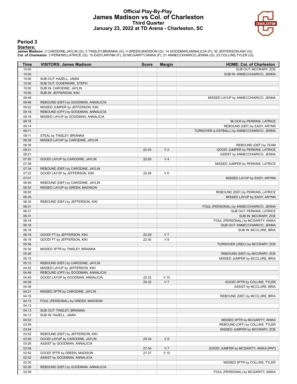## **Official Play-By-Play James Madison vs Col. of Charleston Third Quarter January 23, 2022 at TD Arena - Charleston, SC**



### **Period 3**

#### **Starters:**

James Madison: 2 CARODINE,JAYLIN (G); 3 TINSLEY,BRIANNA (G); 4 GREEN,MADISON (G); 14 GOODMAN,ANNALICIA (F); 30 JEFFERSON,KIKI (G);<br>Col. of Charleston: 3 PERKINS,LATRICE (G); 15 EADY,ARYNN (F); 20 MCGARITY,ANIKA (F); 21 ANN

| Time           | <b>VISITORS: James Madison</b>      | <b>Score</b> | <b>Margin</b>  | <b>HOME: Col. of Charleston</b>                                  |
|----------------|-------------------------------------|--------------|----------------|------------------------------------------------------------------|
| 10:00          |                                     |              |                | SUB OUT: MCCRARY, ZOE                                            |
| 10:00          |                                     |              |                | SUB IN: ANNECCHIARICO, JENNA                                     |
| 10:00          | SUB OUT: HAZELL, JAMIA              |              |                |                                                                  |
| 10:00          | SUB OUT: OUDERKIRK, STEPH           |              |                |                                                                  |
| 10:00          | SUB IN: CARODINE, JAYLIN            |              |                |                                                                  |
| 10:00          | SUB IN: JEFFERSON, KIKI             |              |                |                                                                  |
| 09:48          |                                     |              |                | MISSED LAYUP by ANNECCHIARICO, JENNA                             |
| 09:46          | REBOUND (DEF) by GOODMAN, ANNALICIA |              |                |                                                                  |
| 09:22          | MISSED JUMPER by JEFFERSON, KIKI    |              |                |                                                                  |
| 09:18          | REBOUND (OFF) by GOODMAN, ANNALICIA |              |                |                                                                  |
| 09:18          | MISSED LAYUP by GOODMAN, ANNALICIA  |              |                |                                                                  |
| 09:18          |                                     |              |                | BLOCK by PERKINS, LATRICE                                        |
| 09:14          |                                     |              |                | REBOUND (DEF) by EADY, ARYNN                                     |
| 09:11          |                                     |              |                | TURNOVER (LOSTBALL) by ANNECCHIARICO, JENNA                      |
| 09:11          | STEAL by TINSLEY, BRIANNA           |              |                |                                                                  |
| 08:39          | MISSED LAYUP by CARODINE, JAYLIN    |              |                |                                                                  |
| 08:39          |                                     |              |                | REBOUND (DEF) by TEAM                                            |
| 08:21          |                                     | $22 - 24$    | V <sub>2</sub> | GOOD! JUMPER by PERKINS, LATRICE                                 |
| 08:21          |                                     |              |                | ASSIST by ANNECCHIARICO, JENNA                                   |
| 07:55          | GOOD! LAYUP by CARODINE, JAYLIN     | $22 - 26$    | V <sub>4</sub> |                                                                  |
| 07:38          |                                     |              |                | MISSED JUMPER by PERKINS, LATRICE                                |
| 07:34          | REBOUND (DEF) by CARODINE, JAYLIN   |              |                |                                                                  |
| 07:22          | GOOD! LAYUP by JEFFERSON, KIKI      | 22-28        | $V_6$          |                                                                  |
| 07:01          |                                     |              |                | MISSED LAYUP by EADY, ARYNN                                      |
| 06:59          | REBOUND (DEF) by CARODINE, JAYLIN   |              |                |                                                                  |
| 06:53<br>06:50 | MISSED LAYUP by GREEN, MADISON      |              |                |                                                                  |
| 06:35          |                                     |              |                | REBOUND (DEF) by PERKINS, LATRICE<br>MISSED LAYUP by EADY, ARYNN |
| 06:32          |                                     |              |                |                                                                  |
| 06:31          | REBOUND (DEF) by JEFFERSON, KIKI    |              |                | FOUL (PERSONAL) by ANNECCHIARICO, JENNA                          |
| 06:31          |                                     |              |                | SUB OUT: PERKINS, LATRICE                                        |
| 06:31          |                                     |              |                | SUB IN: MCCRARY, ZOE                                             |
| 06:18          |                                     |              |                | FOUL (PERSONAL) by MCGARITY, ANIKA                               |
| 06:18          |                                     |              |                | SUB OUT: ANNECCHIARICO, JENNA                                    |
| 06:18          |                                     |              |                | SUB IN: MCCLURE, BRIA                                            |
| 06:18          | GOOD! FT by JEFFERSON, KIKI         | 22-29        | V <sub>7</sub> |                                                                  |
| 06:18          | GOOD! FT by JEFFERSON, KIKI         | 22-30        | V8             |                                                                  |
| 05:58          |                                     |              |                | TURNOVER (3SEC) by MCCRARY, ZOE                                  |
| 05:30          | MISSED 3PTR by TINSLEY, BRIANNA     |              |                |                                                                  |
| 05:26          |                                     |              |                | REBOUND (DEF) by MCCRARY, ZOE                                    |
| 05:15          |                                     |              |                | MISSED JUMPER by MCCLURE, BRIA                                   |
| 05:12          | REBOUND (DEF) by CARODINE, JAYLIN   |              |                |                                                                  |
| 04:52          | MISSED LAYUP by JEFFERSON, KIKI     |              |                |                                                                  |
| 04:49          | REBOUND (OFF) by GOODMAN, ANNALICIA |              |                |                                                                  |
| 04:49          | GOOD! LAYUP by GOODMAN, ANNALICIA   | 22-32        | $V$ 10         |                                                                  |
| 04:38          |                                     | 25-32        | V <sub>7</sub> | GOOD! 3PTR by COLLINS, TYLER                                     |
| 04:38          |                                     |              |                | ASSIST by MCCLURE, BRIA                                          |
| 04:21          | MISSED 3PTR by CARODINE, JAYLIN     |              |                |                                                                  |
| 04:19          |                                     |              |                | REBOUND (DEF) by MCCLURE, BRIA                                   |
| 04:13          | FOUL (PERSONAL) by GREEN, MADISON   |              |                |                                                                  |
| 04:13          |                                     |              |                |                                                                  |
| 04:13          | SUB OUT: TINSLEY, BRIANNA           |              |                |                                                                  |
| 04:13          | SUB IN: HAZELL, JAMIA               |              |                |                                                                  |
| 04:02          |                                     |              |                | MISSED 3PTR by MCGARITY, ANIKA                                   |
| 03:59          |                                     |              |                | REBOUND (OFF) by COLLINS, TYLER                                  |
| 03:54          |                                     |              |                | MISSED JUMPER by MCCRARY, ZOE                                    |
| 03:52          | REBOUND (DEF) by JEFFERSON, KIKI    |              |                |                                                                  |
| 03:26          | GOOD! LAYUP by CARODINE, JAYLIN     | 25-34        | V <sub>9</sub> |                                                                  |
| 03:26          | ASSIST by GOODMAN, ANNALICIA        |              |                |                                                                  |
| 03:09          |                                     | 27-34        | V <sub>7</sub> | GOOD! JUMPER by MCGARITY, ANIKA [PNT]                            |
| 02:52          | GOOD! 3PTR by GREEN, MADISON        | 27-37        | $V$ 10         |                                                                  |
| 02:52          | ASSIST by GOODMAN, ANNALICIA        |              |                |                                                                  |
| 02:30          |                                     |              |                | MISSED 3PTR by COLLINS, TYLER                                    |
| 02:26          | REBOUND (DEF) by GOODMAN, ANNALICIA |              |                |                                                                  |
| 02:09          |                                     |              |                | FOUL (PERSONAL) by MCGARITY, ANIKA                               |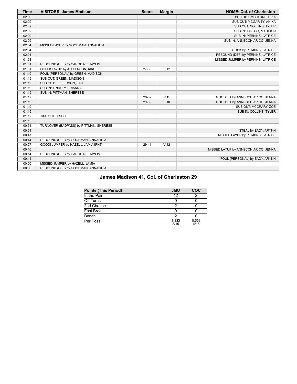| <b>Time</b> | <b>VISITORS: James Madison</b>         | <b>Score</b> | <b>Margin</b>   | <b>HOME: Col. of Charleston</b>      |
|-------------|----------------------------------------|--------------|-----------------|--------------------------------------|
| 02:09       |                                        |              |                 | SUB OUT: MCCLURE, BRIA               |
| 02:09       |                                        |              |                 | SUB OUT: MCGARITY, ANIKA             |
| 02:09       |                                        |              |                 | SUB OUT: COLLINS, TYLER              |
| 02:09       |                                        |              |                 | SUB IN: TAYLOR, MADISON              |
| 02:09       |                                        |              |                 | SUB IN: PERKINS, LATRICE             |
| 02:09       |                                        |              |                 | SUB IN: ANNECCHIARICO, JENNA         |
| 02:04       | MISSED LAYUP by GOODMAN, ANNALICIA     |              |                 |                                      |
| 02:04       |                                        |              |                 | BLOCK by PERKINS, LATRICE            |
| 02:01       |                                        |              |                 | REBOUND (DEF) by PERKINS, LATRICE    |
| 01:53       |                                        |              |                 | MISSED JUMPER by PERKINS, LATRICE    |
| 01:51       | REBOUND (DEF) by CARODINE, JAYLIN      |              |                 |                                      |
| 01:31       | GOOD! LAYUP by JEFFERSON, KIKI         | 27-39        | V <sub>12</sub> |                                      |
| 01:19       | FOUL (PERSONAL) by GREEN, MADISON      |              |                 |                                      |
| 01:19       | SUB OUT: GREEN, MADISON                |              |                 |                                      |
| 01:19       | SUB OUT: JEFFERSON, KIKI               |              |                 |                                      |
| 01:19       | SUB IN: TINSLEY, BRIANNA               |              |                 |                                      |
| 01:19       | SUB IN: PITTMAN, SHERESE               |              |                 |                                      |
| 01:19       |                                        | 28-39        | V <sub>11</sub> | GOOD! FT by ANNECCHIARICO, JENNA     |
| 01:19       |                                        | 29-39        | $V$ 10          | GOOD! FT by ANNECCHIARICO, JENNA     |
| 01:19       |                                        |              |                 | SUB OUT: MCCRARY, ZOE                |
| 01:19       |                                        |              |                 | SUB IN: COLLINS, TYLER               |
| 01:12       | TIMEOUT 30SEC                          |              |                 |                                      |
| 01:12       |                                        |              |                 |                                      |
| 00:54       | TURNOVER (BADPASS) by PITTMAN, SHERESE |              |                 |                                      |
| 00:54       |                                        |              |                 | STEAL by EADY, ARYNN                 |
| 00:47       |                                        |              |                 | MISSED LAYUP by PERKINS, LATRICE     |
| 00:44       | REBOUND (DEF) by GOODMAN, ANNALICIA    |              |                 |                                      |
| 00:27       | GOOD! JUMPER by HAZELL, JAMIA [PNT]    | 29-41        | V <sub>12</sub> |                                      |
| 00:16       |                                        |              |                 | MISSED LAYUP by ANNECCHIARICO, JENNA |
| 00:14       | REBOUND (DEF) by CARODINE, JAYLIN      |              |                 |                                      |
| 00:14       |                                        |              |                 | FOUL (PERSONAL) by EADY, ARYNN       |
| 00:00       | MISSED JUMPER by HAZELL, JAMIA         |              |                 |                                      |
| 00:00       | REBOUND (OFF) by GOODMAN, ANNALICIA    |              |                 |                                      |

# **James Madison 41, Col. of Charleston 29**

| <b>Points (This Period)</b> | <b>JMU</b>    | COC           |
|-----------------------------|---------------|---------------|
| In the Paint                | 12            |               |
| Off Turns                   |               |               |
| 2nd Chance                  |               |               |
| <b>Fast Break</b>           |               |               |
| Bench                       |               |               |
| Per Poss                    | 1.133<br>8/15 | 0.563<br>4/16 |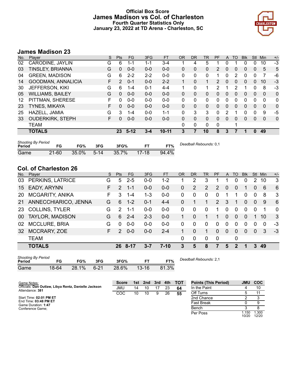# **Official Box Score James Madison vs Col. of Charleston Fourth Quarter Statistics Only January 23, 2022 at TD Arena - Charleston, SC**



# **James Madison 23**

| No. | Player                  | S  | Pts           | FG.      | 3FG     | <b>FT</b> | <b>OR</b>    | DR       | TR | PF            | A        | TO | <b>Blk</b> | <b>Stl</b>   | Min      | $+/-$ |
|-----|-------------------------|----|---------------|----------|---------|-----------|--------------|----------|----|---------------|----------|----|------------|--------------|----------|-------|
| 02  | CARODINE, JAYLIN        | G  | 6             | 1-1      | 1-1     | $3 - 4$   |              | 4        | 5  |               |          |    | 0          | 0            | 10       | -3    |
| 03  | <b>TINSLEY, BRIANNA</b> | G  | 0             | $0 - 0$  | $0 - 0$ | $0 - 0$   | 0            | 0        | 0  | $\mathcal{P}$ | $\Omega$ | 0  | 0          | 0            | 5        | 5     |
| 04  | <b>GREEN, MADISON</b>   | G  | 6             | $2 - 2$  | $2 - 2$ | $0 - 0$   | 0            | 0        | 0  |               | 0        | 2  | 0          | 0            | 7        | -6    |
| 14  | GOODMAN, ANNALICIA      | F. | $\mathcal{P}$ | $0 - 1$  | $0 - 0$ | $2 - 2$   | 1            | $\Omega$ | 1. | $\mathcal{P}$ | $\Omega$ | 0  | 0          | $\Omega$     | 10       | $-3$  |
| 30  | <b>JEFFERSON, KIKI</b>  | G  | 6             | $1 - 4$  | $0 - 1$ | $4 - 4$   | 1            | 0        | 1  | 2             |          | 2  |            | $\Omega$     | 8        | $-3$  |
| 05  | <b>WILLIAMS, BAILEY</b> | G  | 0             | $0 - 0$  | $0 - 0$ | $0 - 0$   | $\Omega$     | $\Omega$ | 0  | 0             | $\Omega$ | 0  | 0          | $\Omega$     | 0        | 0     |
| 12  | PITTMAN, SHERESE        | F  | O             | $0 - 0$  | $0 - 0$ | $0 - 0$   | 0            | 0        | 0  | 0             | $\Omega$ | 0  | 0          | $\Omega$     | 0        | 0     |
| 23  | <b>TYNES, MIKAYA</b>    | F  | 0             | $0 - 0$  | $0 - 0$ | $0 - 0$   | $\mathbf{0}$ | $\Omega$ | 0  | 0             | $\Omega$ | 0  | 0          | $\Omega$     | $\Omega$ | 0     |
| 25  | HAZELL, JAMIA           | G  | 3             | $1 - 4$  | $0 - 0$ | $1 - 1$   | 0            | 3        | 3  | 0             | 2        |    | 0          | 0            | 9        | $-5$  |
| 33  | <b>OUDERKIRK, STEPH</b> | F  | 0             | $0 - 0$  | $0 - 0$ | $0 - 0$   | $\Omega$     | $\Omega$ | 0  | 0             | $\Omega$ | 0  | 0          | $\Omega$     | $\Omega$ | 0     |
|     | TEAM                    |    |               |          |         |           | $\mathbf 0$  | 0        | 0  | 0             |          |    |            |              |          |       |
|     | <b>TOTALS</b>           |    | 23            | $5 - 12$ | $3 - 4$ | $10 - 11$ | 3            | 7        | 10 | 8             | 3        |    |            | $\mathbf{0}$ | 49       |       |
|     |                         |    |               |          |         |           |              |          |    |               |          |    |            |              |          |       |

| <b>Shooting By Period</b><br>Period | FG        | FG%        | 3FG | 3FG%      | FТ    | FT%   | Deadball Rebounds: 0,1 |
|-------------------------------------|-----------|------------|-----|-----------|-------|-------|------------------------|
| Game                                | $21 - 60$ | 35.0% 5-14 |     | $-35.7\%$ | 17-18 | 94.4% |                        |

# **Col. of Charleston 26**

| No.       | Plaver                 | S  | <b>Pts</b>    | <b>FG</b> | 3FG     | <b>FT</b> | <b>OR</b> | <b>DR</b> | TR       | PF                    | A        | TO       | <b>Blk</b> | Stl            | Min      | $+/-$    |
|-----------|------------------------|----|---------------|-----------|---------|-----------|-----------|-----------|----------|-----------------------|----------|----------|------------|----------------|----------|----------|
| 03        | PERKINS, LATRICE       | G  | 5             | $2 - 5$   | $0 - 0$ | $1 - 2$   | 1         | 2         | 3        |                       |          | $\Omega$ | 0          | 2              | 10       | 3        |
| 15        | EADY, ARYNN            | F. | $\mathcal{P}$ | $1 - 1$   | $0 - 0$ | $0 - 0$   | 0         | 2         | 2        | $\mathcal{P}$         | 0        | 0        | 1          | $\overline{0}$ | 6        | 6        |
| 20        | <b>MCGARITY, ANIKA</b> | F  | 3             | $1 - 4$   | $1 - 3$ | $0 - 0$   | 0         | $\Omega$  | $\Omega$ | $\Omega$              |          |          | $\Omega$   | 0              | 8        | 3        |
| 21        | ANNECCHIARICO, JENNA   | G  | 6             | $1 - 2$   | $0 - 1$ | $4 - 4$   | 0         |           |          | $\mathbf{2}^{\prime}$ | 3        |          | 0          | $\overline{0}$ | -9       | 6        |
| <b>23</b> | <b>COLLINS, TYLER</b>  | G  | $\mathcal{P}$ | $1 - 1$   | $0-0$   | $0 - 0$   | 0         | $\Omega$  | $\Omega$ | 1                     | $\Omega$ | $\Omega$ | $\Omega$   | 0              |          | $\Omega$ |
| 00.       | TAYLOR, MADISON        | G  | 6             | $2 - 4$   | $2 - 3$ | $0-0$     |           | $\Omega$  |          | 1                     | 0        | $\Omega$ | $\Omega$   |                | 10       | 3        |
| 02        | <b>MCCLURE, BRIA</b>   | G  | $\Omega$      | $0 - 0$   | $0-0$   | $0 - 0$   | 0         | 0         | $\Omega$ | $\Omega$              | 0        | $\Omega$ | 0          | 0              | $\Omega$ | -3       |
| 32        | MCCRARY, ZOE           | F  | $\mathcal{P}$ | $0 - 0$   | $0 - 0$ | $2 - 4$   |           | $\Omega$  |          | 0                     | $\Omega$ | $\Omega$ | $\Omega$   | $\overline{0}$ | 3        | $-3$     |
|           | <b>TEAM</b>            |    |               |           |         |           | 0         | 0         | $\Omega$ | 0                     |          | 0        |            |                |          |          |
|           | <b>TOTALS</b>          |    |               | 26 8-17   | 3-7     | $7 - 10$  | 3         | 5         | 8        | 7                     | 5        | 2        | 1          | 3              | 49       |          |

| <b>Shooting By Period</b><br>Period |       | FG%   | 3FG      | 3FG%  |           | FT%   |  |
|-------------------------------------|-------|-------|----------|-------|-----------|-------|--|
| Game                                | 18-64 | 28.1% | $6 - 21$ | 28.6% | $13 - 16$ | 81.3% |  |

*Deadball Rebounds:* 2,1

| Game Notes:                                                             | <b>Score</b> |    |    |    |    | 1st 2nd 3rd 4th TOT | <b>Points (This Period)</b> | <b>UMU</b>    | <b>COC</b>    |
|-------------------------------------------------------------------------|--------------|----|----|----|----|---------------------|-----------------------------|---------------|---------------|
| Officials: Dan Outlaw, Libya Rentz, Danielle Jackson<br>Attendance: 381 | JMU          | 14 | 10 | 17 | 23 | 64                  | In the Paint                |               | 10            |
|                                                                         | COC          | 10 | 10 | 9  | 26 | 55                  | Off Turns                   |               |               |
| Start Time: 02:01 PM ET                                                 |              |    |    |    |    |                     | 2nd Chance                  |               |               |
| End Time: 03:48 PM ET<br>Game Duration: 1:47                            |              |    |    |    |    |                     | <b>Fast Break</b>           |               |               |
| Conference Game:                                                        |              |    |    |    |    |                     | Bench                       |               |               |
|                                                                         |              |    |    |    |    |                     | Per Poss                    | .150<br>10/20 | .300<br>12/20 |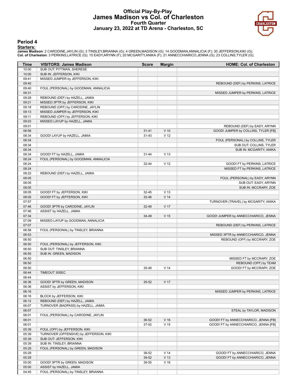## **Official Play-By-Play James Madison vs Col. of Charleston Fourth Quarter January 23, 2022 at TD Arena - Charleston, SC**



#### **Period 4**

#### **Starters:**

James Madison: 2 CARODINE,JAYLIN (G); 3 TINSLEY,BRIANNA (G); 4 GREEN,MADISON (G); 14 GOODMAN,ANNALICIA (F); 30 JEFFERSON,KIKI (G);<br>Col. of Charleston: 3 PERKINS,LATRICE (G); 15 EADY,ARYNN (F); 20 MCGARITY,ANIKA (F); 21 ANN

| 10:00<br>SUB OUT: PITTMAN, SHERESE<br>10:00<br>SUB IN: JEFFERSON, KIKI<br>09:41<br>MISSED JUMPER by JEFFERSON, KIKI<br>09:40<br>REBOUND (DEF) by PERKINS, LATRICE<br>09:40<br>FOUL (PERSONAL) by GOODMAN, ANNALICIA<br>09:31<br>MISSED JUMPER by PERKINS, LATRICE<br>09:28<br>REBOUND (DEF) by HAZELL, JAMIA<br>MISSED 3PTR by JEFFERSON, KIKI<br>09:21<br>REBOUND (OFF) by CARODINE, JAYLIN<br>09:18<br>09:13<br>MISSED JUMPER by JEFFERSON, KIKI<br>09:11<br>REBOUND (OFF) by JEFFERSON, KIKI<br>09:03<br>MISSED LAYUP by HAZELL, JAMIA<br>09:01<br>REBOUND (DEF) by EADY, ARYNN<br>08:56<br>$V$ 10<br>$31 - 41$<br>GOOD! JUMPER by COLLINS, TYLER [FB]<br>08:34<br>$31 - 43$<br>V <sub>12</sub><br>GOOD! LAYUP by HAZELL, JAMIA<br>08:34<br>FOUL (PERSONAL) by COLLINS, TYLER<br>08:34<br>SUB OUT: COLLINS, TYLER<br>08:34<br>SUB IN: MCGARITY, ANIKA<br>08:34<br>GOOD! FT by HAZELL, JAMIA<br>V <sub>13</sub><br>31-44<br>08:24<br>FOUL (PERSONAL) by GOODMAN, ANNALICIA<br>08:24<br>V <sub>12</sub><br>$32 - 44$<br>GOOD! FT by PERKINS, LATRICE<br>08:24<br>MISSED FT by PERKINS, LATRICE<br>08:22<br>REBOUND (DEF) by HAZELL, JAMIA<br>08:05<br>FOUL (PERSONAL) by EADY, ARYNN<br>08:05<br>SUB OUT: EADY, ARYNN<br>08:05<br>SUB IN: MCCRARY, ZOE<br>08:05<br>GOOD! FT by JEFFERSON, KIKI<br>V <sub>13</sub><br>32-45<br>08:05<br>V <sub>14</sub><br>GOOD! FT by JEFFERSON, KIKI<br>32-46<br>07:57<br>TURNOVER (TRAVEL) by MCGARITY, ANIKA<br>07:46<br>V <sub>17</sub><br>GOOD! 3PTR by CARODINE, JAYLIN<br>32-49<br>07:46<br>ASSIST by HAZELL, JAMIA<br>07:34<br>V <sub>15</sub><br>GOOD! JUMPER by ANNECCHIARICO, JENNA<br>34-49<br>07:09<br>MISSED LAYUP by GOODMAN, ANNALICIA<br>07:07<br>REBOUND (DEF) by PERKINS, LATRICE<br>06:58<br>FOUL (PERSONAL) by TINSLEY, BRIANNA<br>06:53<br>MISSED 3PTR by ANNECCHIARICO, JENNA<br>06:50<br>REBOUND (OFF) by MCCRARY, ZOE<br>06:50<br>FOUL (PERSONAL) by JEFFERSON, KIKI<br>SUB OUT: TINSLEY, BRIANNA<br>06:50<br>06:50<br>SUB IN: GREEN, MADISON<br>06:50<br>MISSED FT by MCCRARY, ZOE<br>06:50<br>REBOUND (OFF) by TEAM<br>06:50<br>V <sub>14</sub><br>GOOD! FT by MCCRARY, ZOE<br>35-49<br>06:44<br>TIMEOUT 30SEC<br>06:44<br>06:36<br>GOOD! 3PTR by GREEN, MADISON<br>$35 - 52$<br>V 17<br>ASSIST by JEFFERSON, KIKI<br>06:36<br>06:16<br>MISSED JUMPER by PERKINS, LATRICE<br>06:16<br>BLOCK by JEFFERSON, KIKI<br>06:12<br>REBOUND (DEF) by HAZELL, JAMIA<br>06:07<br>TURNOVER (BADPASS) by HAZELL, JAMIA<br>06:07<br>STEAL by TAYLOR, MADISON<br>06:01<br>FOUL (PERSONAL) by CARODINE, JAYLIN<br>$V$ 16<br>06:01<br>36-52<br>GOOD! FT by ANNECCHIARICO, JENNA [FB]<br>V <sub>15</sub><br>06:01<br>37-52<br>GOOD! FT by ANNECCHIARICO, JENNA [FB]<br>05:39<br>FOUL (OFF) by JEFFERSON, KIKI<br>05:39<br>TURNOVER (OFFENSIVE) by JEFFERSON, KIKI<br>05:39<br>SUB OUT: JEFFERSON, KIKI<br>05:39<br>SUB IN: TINSLEY, BRIANNA<br>05:29<br>FOUL (PERSONAL) by GREEN, MADISON<br>05:29<br>V <sub>14</sub><br>38-52<br>GOOD! FT by ANNECCHIARICO, JENNA<br>05:29<br>V <sub>13</sub><br>39-52<br>GOOD! FT by ANNECCHIARICO, JENNA<br>$V$ 16<br>05:00<br>GOOD! 3PTR by GREEN, MADISON<br>39-55<br>05:00<br>ASSIST by HAZELL, JAMIA<br>FOUL (PERSONAL) by TINSLEY, BRIANNA<br>04:45 | Time | <b>VISITORS: James Madison</b> | <b>Score</b> | <b>Margin</b> | <b>HOME: Col. of Charleston</b> |
|---------------------------------------------------------------------------------------------------------------------------------------------------------------------------------------------------------------------------------------------------------------------------------------------------------------------------------------------------------------------------------------------------------------------------------------------------------------------------------------------------------------------------------------------------------------------------------------------------------------------------------------------------------------------------------------------------------------------------------------------------------------------------------------------------------------------------------------------------------------------------------------------------------------------------------------------------------------------------------------------------------------------------------------------------------------------------------------------------------------------------------------------------------------------------------------------------------------------------------------------------------------------------------------------------------------------------------------------------------------------------------------------------------------------------------------------------------------------------------------------------------------------------------------------------------------------------------------------------------------------------------------------------------------------------------------------------------------------------------------------------------------------------------------------------------------------------------------------------------------------------------------------------------------------------------------------------------------------------------------------------------------------------------------------------------------------------------------------------------------------------------------------------------------------------------------------------------------------------------------------------------------------------------------------------------------------------------------------------------------------------------------------------------------------------------------------------------------------------------------------------------------------------------------------------------------------------------------------------------------------------------------------------------------------------------------------------------------------------------------------------------------------------------------------------------------------------------------------------------------------------------------------------------------------------------------------------------------------------------------------------------------------------------------------------------------------------------------------------------------------------------------------------------------------------------------------------------------------------------------|------|--------------------------------|--------------|---------------|---------------------------------|
|                                                                                                                                                                                                                                                                                                                                                                                                                                                                                                                                                                                                                                                                                                                                                                                                                                                                                                                                                                                                                                                                                                                                                                                                                                                                                                                                                                                                                                                                                                                                                                                                                                                                                                                                                                                                                                                                                                                                                                                                                                                                                                                                                                                                                                                                                                                                                                                                                                                                                                                                                                                                                                                                                                                                                                                                                                                                                                                                                                                                                                                                                                                                                                                                                                       |      |                                |              |               |                                 |
|                                                                                                                                                                                                                                                                                                                                                                                                                                                                                                                                                                                                                                                                                                                                                                                                                                                                                                                                                                                                                                                                                                                                                                                                                                                                                                                                                                                                                                                                                                                                                                                                                                                                                                                                                                                                                                                                                                                                                                                                                                                                                                                                                                                                                                                                                                                                                                                                                                                                                                                                                                                                                                                                                                                                                                                                                                                                                                                                                                                                                                                                                                                                                                                                                                       |      |                                |              |               |                                 |
|                                                                                                                                                                                                                                                                                                                                                                                                                                                                                                                                                                                                                                                                                                                                                                                                                                                                                                                                                                                                                                                                                                                                                                                                                                                                                                                                                                                                                                                                                                                                                                                                                                                                                                                                                                                                                                                                                                                                                                                                                                                                                                                                                                                                                                                                                                                                                                                                                                                                                                                                                                                                                                                                                                                                                                                                                                                                                                                                                                                                                                                                                                                                                                                                                                       |      |                                |              |               |                                 |
|                                                                                                                                                                                                                                                                                                                                                                                                                                                                                                                                                                                                                                                                                                                                                                                                                                                                                                                                                                                                                                                                                                                                                                                                                                                                                                                                                                                                                                                                                                                                                                                                                                                                                                                                                                                                                                                                                                                                                                                                                                                                                                                                                                                                                                                                                                                                                                                                                                                                                                                                                                                                                                                                                                                                                                                                                                                                                                                                                                                                                                                                                                                                                                                                                                       |      |                                |              |               |                                 |
|                                                                                                                                                                                                                                                                                                                                                                                                                                                                                                                                                                                                                                                                                                                                                                                                                                                                                                                                                                                                                                                                                                                                                                                                                                                                                                                                                                                                                                                                                                                                                                                                                                                                                                                                                                                                                                                                                                                                                                                                                                                                                                                                                                                                                                                                                                                                                                                                                                                                                                                                                                                                                                                                                                                                                                                                                                                                                                                                                                                                                                                                                                                                                                                                                                       |      |                                |              |               |                                 |
|                                                                                                                                                                                                                                                                                                                                                                                                                                                                                                                                                                                                                                                                                                                                                                                                                                                                                                                                                                                                                                                                                                                                                                                                                                                                                                                                                                                                                                                                                                                                                                                                                                                                                                                                                                                                                                                                                                                                                                                                                                                                                                                                                                                                                                                                                                                                                                                                                                                                                                                                                                                                                                                                                                                                                                                                                                                                                                                                                                                                                                                                                                                                                                                                                                       |      |                                |              |               |                                 |
|                                                                                                                                                                                                                                                                                                                                                                                                                                                                                                                                                                                                                                                                                                                                                                                                                                                                                                                                                                                                                                                                                                                                                                                                                                                                                                                                                                                                                                                                                                                                                                                                                                                                                                                                                                                                                                                                                                                                                                                                                                                                                                                                                                                                                                                                                                                                                                                                                                                                                                                                                                                                                                                                                                                                                                                                                                                                                                                                                                                                                                                                                                                                                                                                                                       |      |                                |              |               |                                 |
|                                                                                                                                                                                                                                                                                                                                                                                                                                                                                                                                                                                                                                                                                                                                                                                                                                                                                                                                                                                                                                                                                                                                                                                                                                                                                                                                                                                                                                                                                                                                                                                                                                                                                                                                                                                                                                                                                                                                                                                                                                                                                                                                                                                                                                                                                                                                                                                                                                                                                                                                                                                                                                                                                                                                                                                                                                                                                                                                                                                                                                                                                                                                                                                                                                       |      |                                |              |               |                                 |
|                                                                                                                                                                                                                                                                                                                                                                                                                                                                                                                                                                                                                                                                                                                                                                                                                                                                                                                                                                                                                                                                                                                                                                                                                                                                                                                                                                                                                                                                                                                                                                                                                                                                                                                                                                                                                                                                                                                                                                                                                                                                                                                                                                                                                                                                                                                                                                                                                                                                                                                                                                                                                                                                                                                                                                                                                                                                                                                                                                                                                                                                                                                                                                                                                                       |      |                                |              |               |                                 |
|                                                                                                                                                                                                                                                                                                                                                                                                                                                                                                                                                                                                                                                                                                                                                                                                                                                                                                                                                                                                                                                                                                                                                                                                                                                                                                                                                                                                                                                                                                                                                                                                                                                                                                                                                                                                                                                                                                                                                                                                                                                                                                                                                                                                                                                                                                                                                                                                                                                                                                                                                                                                                                                                                                                                                                                                                                                                                                                                                                                                                                                                                                                                                                                                                                       |      |                                |              |               |                                 |
|                                                                                                                                                                                                                                                                                                                                                                                                                                                                                                                                                                                                                                                                                                                                                                                                                                                                                                                                                                                                                                                                                                                                                                                                                                                                                                                                                                                                                                                                                                                                                                                                                                                                                                                                                                                                                                                                                                                                                                                                                                                                                                                                                                                                                                                                                                                                                                                                                                                                                                                                                                                                                                                                                                                                                                                                                                                                                                                                                                                                                                                                                                                                                                                                                                       |      |                                |              |               |                                 |
|                                                                                                                                                                                                                                                                                                                                                                                                                                                                                                                                                                                                                                                                                                                                                                                                                                                                                                                                                                                                                                                                                                                                                                                                                                                                                                                                                                                                                                                                                                                                                                                                                                                                                                                                                                                                                                                                                                                                                                                                                                                                                                                                                                                                                                                                                                                                                                                                                                                                                                                                                                                                                                                                                                                                                                                                                                                                                                                                                                                                                                                                                                                                                                                                                                       |      |                                |              |               |                                 |
|                                                                                                                                                                                                                                                                                                                                                                                                                                                                                                                                                                                                                                                                                                                                                                                                                                                                                                                                                                                                                                                                                                                                                                                                                                                                                                                                                                                                                                                                                                                                                                                                                                                                                                                                                                                                                                                                                                                                                                                                                                                                                                                                                                                                                                                                                                                                                                                                                                                                                                                                                                                                                                                                                                                                                                                                                                                                                                                                                                                                                                                                                                                                                                                                                                       |      |                                |              |               |                                 |
|                                                                                                                                                                                                                                                                                                                                                                                                                                                                                                                                                                                                                                                                                                                                                                                                                                                                                                                                                                                                                                                                                                                                                                                                                                                                                                                                                                                                                                                                                                                                                                                                                                                                                                                                                                                                                                                                                                                                                                                                                                                                                                                                                                                                                                                                                                                                                                                                                                                                                                                                                                                                                                                                                                                                                                                                                                                                                                                                                                                                                                                                                                                                                                                                                                       |      |                                |              |               |                                 |
|                                                                                                                                                                                                                                                                                                                                                                                                                                                                                                                                                                                                                                                                                                                                                                                                                                                                                                                                                                                                                                                                                                                                                                                                                                                                                                                                                                                                                                                                                                                                                                                                                                                                                                                                                                                                                                                                                                                                                                                                                                                                                                                                                                                                                                                                                                                                                                                                                                                                                                                                                                                                                                                                                                                                                                                                                                                                                                                                                                                                                                                                                                                                                                                                                                       |      |                                |              |               |                                 |
|                                                                                                                                                                                                                                                                                                                                                                                                                                                                                                                                                                                                                                                                                                                                                                                                                                                                                                                                                                                                                                                                                                                                                                                                                                                                                                                                                                                                                                                                                                                                                                                                                                                                                                                                                                                                                                                                                                                                                                                                                                                                                                                                                                                                                                                                                                                                                                                                                                                                                                                                                                                                                                                                                                                                                                                                                                                                                                                                                                                                                                                                                                                                                                                                                                       |      |                                |              |               |                                 |
|                                                                                                                                                                                                                                                                                                                                                                                                                                                                                                                                                                                                                                                                                                                                                                                                                                                                                                                                                                                                                                                                                                                                                                                                                                                                                                                                                                                                                                                                                                                                                                                                                                                                                                                                                                                                                                                                                                                                                                                                                                                                                                                                                                                                                                                                                                                                                                                                                                                                                                                                                                                                                                                                                                                                                                                                                                                                                                                                                                                                                                                                                                                                                                                                                                       |      |                                |              |               |                                 |
|                                                                                                                                                                                                                                                                                                                                                                                                                                                                                                                                                                                                                                                                                                                                                                                                                                                                                                                                                                                                                                                                                                                                                                                                                                                                                                                                                                                                                                                                                                                                                                                                                                                                                                                                                                                                                                                                                                                                                                                                                                                                                                                                                                                                                                                                                                                                                                                                                                                                                                                                                                                                                                                                                                                                                                                                                                                                                                                                                                                                                                                                                                                                                                                                                                       |      |                                |              |               |                                 |
|                                                                                                                                                                                                                                                                                                                                                                                                                                                                                                                                                                                                                                                                                                                                                                                                                                                                                                                                                                                                                                                                                                                                                                                                                                                                                                                                                                                                                                                                                                                                                                                                                                                                                                                                                                                                                                                                                                                                                                                                                                                                                                                                                                                                                                                                                                                                                                                                                                                                                                                                                                                                                                                                                                                                                                                                                                                                                                                                                                                                                                                                                                                                                                                                                                       |      |                                |              |               |                                 |
|                                                                                                                                                                                                                                                                                                                                                                                                                                                                                                                                                                                                                                                                                                                                                                                                                                                                                                                                                                                                                                                                                                                                                                                                                                                                                                                                                                                                                                                                                                                                                                                                                                                                                                                                                                                                                                                                                                                                                                                                                                                                                                                                                                                                                                                                                                                                                                                                                                                                                                                                                                                                                                                                                                                                                                                                                                                                                                                                                                                                                                                                                                                                                                                                                                       |      |                                |              |               |                                 |
|                                                                                                                                                                                                                                                                                                                                                                                                                                                                                                                                                                                                                                                                                                                                                                                                                                                                                                                                                                                                                                                                                                                                                                                                                                                                                                                                                                                                                                                                                                                                                                                                                                                                                                                                                                                                                                                                                                                                                                                                                                                                                                                                                                                                                                                                                                                                                                                                                                                                                                                                                                                                                                                                                                                                                                                                                                                                                                                                                                                                                                                                                                                                                                                                                                       |      |                                |              |               |                                 |
|                                                                                                                                                                                                                                                                                                                                                                                                                                                                                                                                                                                                                                                                                                                                                                                                                                                                                                                                                                                                                                                                                                                                                                                                                                                                                                                                                                                                                                                                                                                                                                                                                                                                                                                                                                                                                                                                                                                                                                                                                                                                                                                                                                                                                                                                                                                                                                                                                                                                                                                                                                                                                                                                                                                                                                                                                                                                                                                                                                                                                                                                                                                                                                                                                                       |      |                                |              |               |                                 |
|                                                                                                                                                                                                                                                                                                                                                                                                                                                                                                                                                                                                                                                                                                                                                                                                                                                                                                                                                                                                                                                                                                                                                                                                                                                                                                                                                                                                                                                                                                                                                                                                                                                                                                                                                                                                                                                                                                                                                                                                                                                                                                                                                                                                                                                                                                                                                                                                                                                                                                                                                                                                                                                                                                                                                                                                                                                                                                                                                                                                                                                                                                                                                                                                                                       |      |                                |              |               |                                 |
|                                                                                                                                                                                                                                                                                                                                                                                                                                                                                                                                                                                                                                                                                                                                                                                                                                                                                                                                                                                                                                                                                                                                                                                                                                                                                                                                                                                                                                                                                                                                                                                                                                                                                                                                                                                                                                                                                                                                                                                                                                                                                                                                                                                                                                                                                                                                                                                                                                                                                                                                                                                                                                                                                                                                                                                                                                                                                                                                                                                                                                                                                                                                                                                                                                       |      |                                |              |               |                                 |
|                                                                                                                                                                                                                                                                                                                                                                                                                                                                                                                                                                                                                                                                                                                                                                                                                                                                                                                                                                                                                                                                                                                                                                                                                                                                                                                                                                                                                                                                                                                                                                                                                                                                                                                                                                                                                                                                                                                                                                                                                                                                                                                                                                                                                                                                                                                                                                                                                                                                                                                                                                                                                                                                                                                                                                                                                                                                                                                                                                                                                                                                                                                                                                                                                                       |      |                                |              |               |                                 |
|                                                                                                                                                                                                                                                                                                                                                                                                                                                                                                                                                                                                                                                                                                                                                                                                                                                                                                                                                                                                                                                                                                                                                                                                                                                                                                                                                                                                                                                                                                                                                                                                                                                                                                                                                                                                                                                                                                                                                                                                                                                                                                                                                                                                                                                                                                                                                                                                                                                                                                                                                                                                                                                                                                                                                                                                                                                                                                                                                                                                                                                                                                                                                                                                                                       |      |                                |              |               |                                 |
|                                                                                                                                                                                                                                                                                                                                                                                                                                                                                                                                                                                                                                                                                                                                                                                                                                                                                                                                                                                                                                                                                                                                                                                                                                                                                                                                                                                                                                                                                                                                                                                                                                                                                                                                                                                                                                                                                                                                                                                                                                                                                                                                                                                                                                                                                                                                                                                                                                                                                                                                                                                                                                                                                                                                                                                                                                                                                                                                                                                                                                                                                                                                                                                                                                       |      |                                |              |               |                                 |
|                                                                                                                                                                                                                                                                                                                                                                                                                                                                                                                                                                                                                                                                                                                                                                                                                                                                                                                                                                                                                                                                                                                                                                                                                                                                                                                                                                                                                                                                                                                                                                                                                                                                                                                                                                                                                                                                                                                                                                                                                                                                                                                                                                                                                                                                                                                                                                                                                                                                                                                                                                                                                                                                                                                                                                                                                                                                                                                                                                                                                                                                                                                                                                                                                                       |      |                                |              |               |                                 |
|                                                                                                                                                                                                                                                                                                                                                                                                                                                                                                                                                                                                                                                                                                                                                                                                                                                                                                                                                                                                                                                                                                                                                                                                                                                                                                                                                                                                                                                                                                                                                                                                                                                                                                                                                                                                                                                                                                                                                                                                                                                                                                                                                                                                                                                                                                                                                                                                                                                                                                                                                                                                                                                                                                                                                                                                                                                                                                                                                                                                                                                                                                                                                                                                                                       |      |                                |              |               |                                 |
|                                                                                                                                                                                                                                                                                                                                                                                                                                                                                                                                                                                                                                                                                                                                                                                                                                                                                                                                                                                                                                                                                                                                                                                                                                                                                                                                                                                                                                                                                                                                                                                                                                                                                                                                                                                                                                                                                                                                                                                                                                                                                                                                                                                                                                                                                                                                                                                                                                                                                                                                                                                                                                                                                                                                                                                                                                                                                                                                                                                                                                                                                                                                                                                                                                       |      |                                |              |               |                                 |
|                                                                                                                                                                                                                                                                                                                                                                                                                                                                                                                                                                                                                                                                                                                                                                                                                                                                                                                                                                                                                                                                                                                                                                                                                                                                                                                                                                                                                                                                                                                                                                                                                                                                                                                                                                                                                                                                                                                                                                                                                                                                                                                                                                                                                                                                                                                                                                                                                                                                                                                                                                                                                                                                                                                                                                                                                                                                                                                                                                                                                                                                                                                                                                                                                                       |      |                                |              |               |                                 |
|                                                                                                                                                                                                                                                                                                                                                                                                                                                                                                                                                                                                                                                                                                                                                                                                                                                                                                                                                                                                                                                                                                                                                                                                                                                                                                                                                                                                                                                                                                                                                                                                                                                                                                                                                                                                                                                                                                                                                                                                                                                                                                                                                                                                                                                                                                                                                                                                                                                                                                                                                                                                                                                                                                                                                                                                                                                                                                                                                                                                                                                                                                                                                                                                                                       |      |                                |              |               |                                 |
|                                                                                                                                                                                                                                                                                                                                                                                                                                                                                                                                                                                                                                                                                                                                                                                                                                                                                                                                                                                                                                                                                                                                                                                                                                                                                                                                                                                                                                                                                                                                                                                                                                                                                                                                                                                                                                                                                                                                                                                                                                                                                                                                                                                                                                                                                                                                                                                                                                                                                                                                                                                                                                                                                                                                                                                                                                                                                                                                                                                                                                                                                                                                                                                                                                       |      |                                |              |               |                                 |
|                                                                                                                                                                                                                                                                                                                                                                                                                                                                                                                                                                                                                                                                                                                                                                                                                                                                                                                                                                                                                                                                                                                                                                                                                                                                                                                                                                                                                                                                                                                                                                                                                                                                                                                                                                                                                                                                                                                                                                                                                                                                                                                                                                                                                                                                                                                                                                                                                                                                                                                                                                                                                                                                                                                                                                                                                                                                                                                                                                                                                                                                                                                                                                                                                                       |      |                                |              |               |                                 |
|                                                                                                                                                                                                                                                                                                                                                                                                                                                                                                                                                                                                                                                                                                                                                                                                                                                                                                                                                                                                                                                                                                                                                                                                                                                                                                                                                                                                                                                                                                                                                                                                                                                                                                                                                                                                                                                                                                                                                                                                                                                                                                                                                                                                                                                                                                                                                                                                                                                                                                                                                                                                                                                                                                                                                                                                                                                                                                                                                                                                                                                                                                                                                                                                                                       |      |                                |              |               |                                 |
|                                                                                                                                                                                                                                                                                                                                                                                                                                                                                                                                                                                                                                                                                                                                                                                                                                                                                                                                                                                                                                                                                                                                                                                                                                                                                                                                                                                                                                                                                                                                                                                                                                                                                                                                                                                                                                                                                                                                                                                                                                                                                                                                                                                                                                                                                                                                                                                                                                                                                                                                                                                                                                                                                                                                                                                                                                                                                                                                                                                                                                                                                                                                                                                                                                       |      |                                |              |               |                                 |
|                                                                                                                                                                                                                                                                                                                                                                                                                                                                                                                                                                                                                                                                                                                                                                                                                                                                                                                                                                                                                                                                                                                                                                                                                                                                                                                                                                                                                                                                                                                                                                                                                                                                                                                                                                                                                                                                                                                                                                                                                                                                                                                                                                                                                                                                                                                                                                                                                                                                                                                                                                                                                                                                                                                                                                                                                                                                                                                                                                                                                                                                                                                                                                                                                                       |      |                                |              |               |                                 |
|                                                                                                                                                                                                                                                                                                                                                                                                                                                                                                                                                                                                                                                                                                                                                                                                                                                                                                                                                                                                                                                                                                                                                                                                                                                                                                                                                                                                                                                                                                                                                                                                                                                                                                                                                                                                                                                                                                                                                                                                                                                                                                                                                                                                                                                                                                                                                                                                                                                                                                                                                                                                                                                                                                                                                                                                                                                                                                                                                                                                                                                                                                                                                                                                                                       |      |                                |              |               |                                 |
|                                                                                                                                                                                                                                                                                                                                                                                                                                                                                                                                                                                                                                                                                                                                                                                                                                                                                                                                                                                                                                                                                                                                                                                                                                                                                                                                                                                                                                                                                                                                                                                                                                                                                                                                                                                                                                                                                                                                                                                                                                                                                                                                                                                                                                                                                                                                                                                                                                                                                                                                                                                                                                                                                                                                                                                                                                                                                                                                                                                                                                                                                                                                                                                                                                       |      |                                |              |               |                                 |
|                                                                                                                                                                                                                                                                                                                                                                                                                                                                                                                                                                                                                                                                                                                                                                                                                                                                                                                                                                                                                                                                                                                                                                                                                                                                                                                                                                                                                                                                                                                                                                                                                                                                                                                                                                                                                                                                                                                                                                                                                                                                                                                                                                                                                                                                                                                                                                                                                                                                                                                                                                                                                                                                                                                                                                                                                                                                                                                                                                                                                                                                                                                                                                                                                                       |      |                                |              |               |                                 |
|                                                                                                                                                                                                                                                                                                                                                                                                                                                                                                                                                                                                                                                                                                                                                                                                                                                                                                                                                                                                                                                                                                                                                                                                                                                                                                                                                                                                                                                                                                                                                                                                                                                                                                                                                                                                                                                                                                                                                                                                                                                                                                                                                                                                                                                                                                                                                                                                                                                                                                                                                                                                                                                                                                                                                                                                                                                                                                                                                                                                                                                                                                                                                                                                                                       |      |                                |              |               |                                 |
|                                                                                                                                                                                                                                                                                                                                                                                                                                                                                                                                                                                                                                                                                                                                                                                                                                                                                                                                                                                                                                                                                                                                                                                                                                                                                                                                                                                                                                                                                                                                                                                                                                                                                                                                                                                                                                                                                                                                                                                                                                                                                                                                                                                                                                                                                                                                                                                                                                                                                                                                                                                                                                                                                                                                                                                                                                                                                                                                                                                                                                                                                                                                                                                                                                       |      |                                |              |               |                                 |
|                                                                                                                                                                                                                                                                                                                                                                                                                                                                                                                                                                                                                                                                                                                                                                                                                                                                                                                                                                                                                                                                                                                                                                                                                                                                                                                                                                                                                                                                                                                                                                                                                                                                                                                                                                                                                                                                                                                                                                                                                                                                                                                                                                                                                                                                                                                                                                                                                                                                                                                                                                                                                                                                                                                                                                                                                                                                                                                                                                                                                                                                                                                                                                                                                                       |      |                                |              |               |                                 |
|                                                                                                                                                                                                                                                                                                                                                                                                                                                                                                                                                                                                                                                                                                                                                                                                                                                                                                                                                                                                                                                                                                                                                                                                                                                                                                                                                                                                                                                                                                                                                                                                                                                                                                                                                                                                                                                                                                                                                                                                                                                                                                                                                                                                                                                                                                                                                                                                                                                                                                                                                                                                                                                                                                                                                                                                                                                                                                                                                                                                                                                                                                                                                                                                                                       |      |                                |              |               |                                 |
|                                                                                                                                                                                                                                                                                                                                                                                                                                                                                                                                                                                                                                                                                                                                                                                                                                                                                                                                                                                                                                                                                                                                                                                                                                                                                                                                                                                                                                                                                                                                                                                                                                                                                                                                                                                                                                                                                                                                                                                                                                                                                                                                                                                                                                                                                                                                                                                                                                                                                                                                                                                                                                                                                                                                                                                                                                                                                                                                                                                                                                                                                                                                                                                                                                       |      |                                |              |               |                                 |
|                                                                                                                                                                                                                                                                                                                                                                                                                                                                                                                                                                                                                                                                                                                                                                                                                                                                                                                                                                                                                                                                                                                                                                                                                                                                                                                                                                                                                                                                                                                                                                                                                                                                                                                                                                                                                                                                                                                                                                                                                                                                                                                                                                                                                                                                                                                                                                                                                                                                                                                                                                                                                                                                                                                                                                                                                                                                                                                                                                                                                                                                                                                                                                                                                                       |      |                                |              |               |                                 |
|                                                                                                                                                                                                                                                                                                                                                                                                                                                                                                                                                                                                                                                                                                                                                                                                                                                                                                                                                                                                                                                                                                                                                                                                                                                                                                                                                                                                                                                                                                                                                                                                                                                                                                                                                                                                                                                                                                                                                                                                                                                                                                                                                                                                                                                                                                                                                                                                                                                                                                                                                                                                                                                                                                                                                                                                                                                                                                                                                                                                                                                                                                                                                                                                                                       |      |                                |              |               |                                 |
|                                                                                                                                                                                                                                                                                                                                                                                                                                                                                                                                                                                                                                                                                                                                                                                                                                                                                                                                                                                                                                                                                                                                                                                                                                                                                                                                                                                                                                                                                                                                                                                                                                                                                                                                                                                                                                                                                                                                                                                                                                                                                                                                                                                                                                                                                                                                                                                                                                                                                                                                                                                                                                                                                                                                                                                                                                                                                                                                                                                                                                                                                                                                                                                                                                       |      |                                |              |               |                                 |
|                                                                                                                                                                                                                                                                                                                                                                                                                                                                                                                                                                                                                                                                                                                                                                                                                                                                                                                                                                                                                                                                                                                                                                                                                                                                                                                                                                                                                                                                                                                                                                                                                                                                                                                                                                                                                                                                                                                                                                                                                                                                                                                                                                                                                                                                                                                                                                                                                                                                                                                                                                                                                                                                                                                                                                                                                                                                                                                                                                                                                                                                                                                                                                                                                                       |      |                                |              |               |                                 |
|                                                                                                                                                                                                                                                                                                                                                                                                                                                                                                                                                                                                                                                                                                                                                                                                                                                                                                                                                                                                                                                                                                                                                                                                                                                                                                                                                                                                                                                                                                                                                                                                                                                                                                                                                                                                                                                                                                                                                                                                                                                                                                                                                                                                                                                                                                                                                                                                                                                                                                                                                                                                                                                                                                                                                                                                                                                                                                                                                                                                                                                                                                                                                                                                                                       |      |                                |              |               |                                 |
|                                                                                                                                                                                                                                                                                                                                                                                                                                                                                                                                                                                                                                                                                                                                                                                                                                                                                                                                                                                                                                                                                                                                                                                                                                                                                                                                                                                                                                                                                                                                                                                                                                                                                                                                                                                                                                                                                                                                                                                                                                                                                                                                                                                                                                                                                                                                                                                                                                                                                                                                                                                                                                                                                                                                                                                                                                                                                                                                                                                                                                                                                                                                                                                                                                       |      |                                |              |               |                                 |
|                                                                                                                                                                                                                                                                                                                                                                                                                                                                                                                                                                                                                                                                                                                                                                                                                                                                                                                                                                                                                                                                                                                                                                                                                                                                                                                                                                                                                                                                                                                                                                                                                                                                                                                                                                                                                                                                                                                                                                                                                                                                                                                                                                                                                                                                                                                                                                                                                                                                                                                                                                                                                                                                                                                                                                                                                                                                                                                                                                                                                                                                                                                                                                                                                                       |      |                                |              |               |                                 |
|                                                                                                                                                                                                                                                                                                                                                                                                                                                                                                                                                                                                                                                                                                                                                                                                                                                                                                                                                                                                                                                                                                                                                                                                                                                                                                                                                                                                                                                                                                                                                                                                                                                                                                                                                                                                                                                                                                                                                                                                                                                                                                                                                                                                                                                                                                                                                                                                                                                                                                                                                                                                                                                                                                                                                                                                                                                                                                                                                                                                                                                                                                                                                                                                                                       |      |                                |              |               |                                 |
|                                                                                                                                                                                                                                                                                                                                                                                                                                                                                                                                                                                                                                                                                                                                                                                                                                                                                                                                                                                                                                                                                                                                                                                                                                                                                                                                                                                                                                                                                                                                                                                                                                                                                                                                                                                                                                                                                                                                                                                                                                                                                                                                                                                                                                                                                                                                                                                                                                                                                                                                                                                                                                                                                                                                                                                                                                                                                                                                                                                                                                                                                                                                                                                                                                       |      |                                |              |               |                                 |
|                                                                                                                                                                                                                                                                                                                                                                                                                                                                                                                                                                                                                                                                                                                                                                                                                                                                                                                                                                                                                                                                                                                                                                                                                                                                                                                                                                                                                                                                                                                                                                                                                                                                                                                                                                                                                                                                                                                                                                                                                                                                                                                                                                                                                                                                                                                                                                                                                                                                                                                                                                                                                                                                                                                                                                                                                                                                                                                                                                                                                                                                                                                                                                                                                                       |      |                                |              |               |                                 |
|                                                                                                                                                                                                                                                                                                                                                                                                                                                                                                                                                                                                                                                                                                                                                                                                                                                                                                                                                                                                                                                                                                                                                                                                                                                                                                                                                                                                                                                                                                                                                                                                                                                                                                                                                                                                                                                                                                                                                                                                                                                                                                                                                                                                                                                                                                                                                                                                                                                                                                                                                                                                                                                                                                                                                                                                                                                                                                                                                                                                                                                                                                                                                                                                                                       |      |                                |              |               |                                 |
|                                                                                                                                                                                                                                                                                                                                                                                                                                                                                                                                                                                                                                                                                                                                                                                                                                                                                                                                                                                                                                                                                                                                                                                                                                                                                                                                                                                                                                                                                                                                                                                                                                                                                                                                                                                                                                                                                                                                                                                                                                                                                                                                                                                                                                                                                                                                                                                                                                                                                                                                                                                                                                                                                                                                                                                                                                                                                                                                                                                                                                                                                                                                                                                                                                       |      |                                |              |               |                                 |
|                                                                                                                                                                                                                                                                                                                                                                                                                                                                                                                                                                                                                                                                                                                                                                                                                                                                                                                                                                                                                                                                                                                                                                                                                                                                                                                                                                                                                                                                                                                                                                                                                                                                                                                                                                                                                                                                                                                                                                                                                                                                                                                                                                                                                                                                                                                                                                                                                                                                                                                                                                                                                                                                                                                                                                                                                                                                                                                                                                                                                                                                                                                                                                                                                                       |      |                                |              |               |                                 |
|                                                                                                                                                                                                                                                                                                                                                                                                                                                                                                                                                                                                                                                                                                                                                                                                                                                                                                                                                                                                                                                                                                                                                                                                                                                                                                                                                                                                                                                                                                                                                                                                                                                                                                                                                                                                                                                                                                                                                                                                                                                                                                                                                                                                                                                                                                                                                                                                                                                                                                                                                                                                                                                                                                                                                                                                                                                                                                                                                                                                                                                                                                                                                                                                                                       |      |                                |              |               |                                 |
|                                                                                                                                                                                                                                                                                                                                                                                                                                                                                                                                                                                                                                                                                                                                                                                                                                                                                                                                                                                                                                                                                                                                                                                                                                                                                                                                                                                                                                                                                                                                                                                                                                                                                                                                                                                                                                                                                                                                                                                                                                                                                                                                                                                                                                                                                                                                                                                                                                                                                                                                                                                                                                                                                                                                                                                                                                                                                                                                                                                                                                                                                                                                                                                                                                       |      |                                |              |               |                                 |
|                                                                                                                                                                                                                                                                                                                                                                                                                                                                                                                                                                                                                                                                                                                                                                                                                                                                                                                                                                                                                                                                                                                                                                                                                                                                                                                                                                                                                                                                                                                                                                                                                                                                                                                                                                                                                                                                                                                                                                                                                                                                                                                                                                                                                                                                                                                                                                                                                                                                                                                                                                                                                                                                                                                                                                                                                                                                                                                                                                                                                                                                                                                                                                                                                                       |      |                                |              |               |                                 |
|                                                                                                                                                                                                                                                                                                                                                                                                                                                                                                                                                                                                                                                                                                                                                                                                                                                                                                                                                                                                                                                                                                                                                                                                                                                                                                                                                                                                                                                                                                                                                                                                                                                                                                                                                                                                                                                                                                                                                                                                                                                                                                                                                                                                                                                                                                                                                                                                                                                                                                                                                                                                                                                                                                                                                                                                                                                                                                                                                                                                                                                                                                                                                                                                                                       |      |                                |              |               |                                 |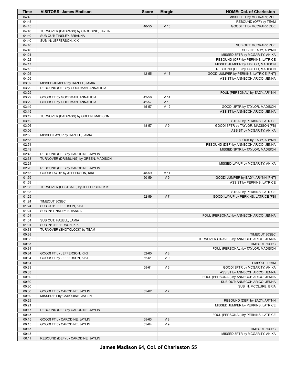| Time           | <b>VISITORS: James Madison</b>                                              | <b>Score</b> | <b>Margin</b>   | <b>HOME: Col. of Charleston</b>                                            |
|----------------|-----------------------------------------------------------------------------|--------------|-----------------|----------------------------------------------------------------------------|
| 04:45          |                                                                             |              |                 | MISSED FT by MCCRARY, ZOE                                                  |
| 04:45          |                                                                             |              |                 | REBOUND (OFF) by TEAM                                                      |
| 04:45          |                                                                             | 40-55        | V <sub>15</sub> | GOOD! FT by MCCRARY, ZOE                                                   |
| 04:40          | TURNOVER (BADPASS) by CARODINE, JAYLIN                                      |              |                 |                                                                            |
| 04:40          | SUB OUT: TINSLEY, BRIANNA                                                   |              |                 |                                                                            |
| 04:40          | SUB IN: JEFFERSON, KIKI                                                     |              |                 |                                                                            |
| 04:40          |                                                                             |              |                 | SUB OUT: MCCRARY, ZOE                                                      |
| 04:40          |                                                                             |              |                 | SUB IN: EADY, ARYNN                                                        |
| 04:24          |                                                                             |              |                 | MISSED 3PTR by MCGARITY, ANIKA                                             |
| 04:22<br>04:17 |                                                                             |              |                 | REBOUND (OFF) by PERKINS, LATRICE                                          |
| 04:15          |                                                                             |              |                 | MISSED JUMPER by TAYLOR, MADISON                                           |
| 04:05          |                                                                             | 42-55        | V <sub>13</sub> | REBOUND (OFF) by TAYLOR, MADISON<br>GOOD! JUMPER by PERKINS, LATRICE [PNT] |
| 04:05          |                                                                             |              |                 | ASSIST by ANNECCHIARICO, JENNA                                             |
| 03:32          | MISSED JUMPER by HAZELL, JAMIA                                              |              |                 |                                                                            |
| 03:29          | REBOUND (OFF) by GOODMAN, ANNALICIA                                         |              |                 |                                                                            |
| 03:29          |                                                                             |              |                 | FOUL (PERSONAL) by EADY, ARYNN                                             |
| 03:29          | GOOD! FT by GOODMAN, ANNALICIA                                              | 42-56        | V <sub>14</sub> |                                                                            |
| 03:29          | GOOD! FT by GOODMAN, ANNALICIA                                              | 42-57        | V <sub>15</sub> |                                                                            |
| 03:19          |                                                                             | 45-57        | V <sub>12</sub> | GOOD! 3PTR by TAYLOR, MADISON                                              |
| 03:19          |                                                                             |              |                 | ASSIST by ANNECCHIARICO, JENNA                                             |
| 03:12          | TURNOVER (BADPASS) by GREEN, MADISON                                        |              |                 |                                                                            |
| 03:12          |                                                                             |              |                 | STEAL by PERKINS, LATRICE                                                  |
| 03:06          |                                                                             | 48-57        | V <sub>9</sub>  | GOOD! 3PTR by TAYLOR, MADISON [FB]                                         |
| 03:06          |                                                                             |              |                 | ASSIST by MCGARITY, ANIKA                                                  |
| 02:55          | MISSED LAYUP by HAZELL, JAMIA                                               |              |                 |                                                                            |
| 02:55          |                                                                             |              |                 | BLOCK by EADY, ARYNN                                                       |
| 02:51          |                                                                             |              |                 | REBOUND (DEF) by ANNECCHIARICO, JENNA                                      |
| 02:49          |                                                                             |              |                 | MISSED 3PTR by TAYLOR, MADISON                                             |
| 02:45<br>02:38 | REBOUND (DEF) by CARODINE, JAYLIN<br>TURNOVER (DRIBBLING) by GREEN, MADISON |              |                 |                                                                            |
| 02:24          |                                                                             |              |                 | MISSED LAYUP by MCGARITY, ANIKA                                            |
| 02:20          | REBOUND (DEF) by CARODINE, JAYLIN                                           |              |                 |                                                                            |
| 02:13          | GOOD! LAYUP by JEFFERSON, KIKI                                              | 48-59        | $V$ 11          |                                                                            |
| 01:59          |                                                                             | 50-59        | V <sub>9</sub>  | GOOD! JUMPER by EADY, ARYNN [PNT]                                          |
| 01:59          |                                                                             |              |                 | ASSIST by PERKINS, LATRICE                                                 |
| 01:33          | TURNOVER (LOSTBALL) by JEFFERSON, KIKI                                      |              |                 |                                                                            |
| 01:33          |                                                                             |              |                 | STEAL by PERKINS, LATRICE                                                  |
| 01:29          |                                                                             | 52-59        | V <sub>7</sub>  | GOOD! LAYUP by PERKINS, LATRICE [FB]                                       |
| 01:24          | TIMEOUT 30SEC                                                               |              |                 |                                                                            |
| 01:24          | SUB OUT: JEFFERSON, KIKI                                                    |              |                 |                                                                            |
| 01:24          | SUB IN: TINSLEY, BRIANNA                                                    |              |                 |                                                                            |
| 01:01          |                                                                             |              |                 | FOUL (PERSONAL) by ANNECCHIARICO, JENNA                                    |
| 01:01          | SUB OUT: HAZELL, JAMIA                                                      |              |                 |                                                                            |
| 01:01<br>00:38 | SUB IN: JEFFERSON, KIKI<br>TURNOVER (SHOTCLOCK) by TEAM                     |              |                 |                                                                            |
| 00:38          |                                                                             |              |                 | TIMEOUT 30SEC                                                              |
| 00:35          |                                                                             |              |                 | TURNOVER (TRAVEL) by ANNECCHIARICO, JENNA                                  |
| 00:35          |                                                                             |              |                 | <b>TIMEOUT 30SEC</b>                                                       |
| 00:34          |                                                                             |              |                 | FOUL (PERSONAL) by TAYLOR, MADISON                                         |
| 00:34          | GOOD! FT by JEFFERSON, KIKI                                                 | 52-60        | V8              |                                                                            |
| 00:34          | GOOD! FT by JEFFERSON, KIKI                                                 | 52-61        | V <sub>9</sub>  |                                                                            |
| 00:34          |                                                                             |              |                 | <b>TIMEOUT TEAM</b>                                                        |
| 00:33          |                                                                             | 55-61        | $V_6$           | GOOD! 3PTR by MCGARITY, ANIKA                                              |
| 00:33          |                                                                             |              |                 | ASSIST by ANNECCHIARICO, JENNA                                             |
| 00:30          |                                                                             |              |                 | FOUL (PERSONAL) by ANNECCHIARICO, JENNA                                    |
| 00:30          |                                                                             |              |                 | SUB OUT: ANNECCHIARICO, JENNA                                              |
| 00:30          |                                                                             |              |                 | SUB IN: MCCLURE, BRIA                                                      |
| 00:30          | GOOD! FT by CARODINE, JAYLIN                                                | 55-62        | V <sub>7</sub>  |                                                                            |
| 00:30          | MISSED FT by CARODINE, JAYLIN                                               |              |                 |                                                                            |
| 00:29          |                                                                             |              |                 | REBOUND (DEF) by EADY, ARYNN                                               |
| 00:21          |                                                                             |              |                 | MISSED JUMPER by PERKINS, LATRICE                                          |
| 00:17          | REBOUND (DEF) by CARODINE, JAYLIN                                           |              |                 |                                                                            |
| 00:15<br>00:15 |                                                                             | 55-63        | V8              | FOUL (PERSONAL) by PERKINS, LATRICE                                        |
| 00:15          | GOOD! FT by CARODINE, JAYLIN<br>GOOD! FT by CARODINE, JAYLIN                | 55-64        | V <sub>9</sub>  |                                                                            |
| 00:15          |                                                                             |              |                 | TIMEOUT 30SEC                                                              |
| 00:13          |                                                                             |              |                 | MISSED 3PTR by MCGARITY, ANIKA                                             |
| 00:11          | REBOUND (DEF) by CARODINE, JAYLIN                                           |              |                 |                                                                            |

**James Madison 64, Col. of Charleston 55**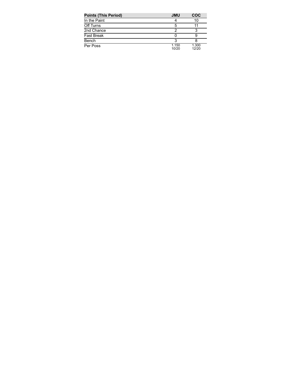| <b>Points (This Period)</b> | <b>JMU</b>     | <b>COC</b>     |
|-----------------------------|----------------|----------------|
| In the Paint                |                | 10             |
| Off Turns                   | 5              |                |
| 2nd Chance                  |                |                |
| <b>Fast Break</b>           |                |                |
| Bench                       |                |                |
| Per Poss                    | 1.150<br>10/20 | 1.300<br>12/20 |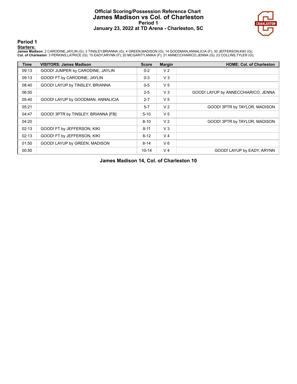## **Official Scoring/Possession Reference Chart James Madison vs Col. of Charleston Period 1 January 23, 2022 at TD Arena - Charleston, SC**



**Period 1**

#### **Starters:**

James Madison: 2 CARODINE,JAYLIN (G); 3 TINSLEY,BRIANNA (G); 4 GREEN,MADISON (G); 14 GOODMAN,ANNALICIA (F); 30 JEFFERSON,KIKI (G);<br>Col. of Charleston: 3 PERKINS,LATRICE (G); 15 EADY,ARYNN (F); 20 MCGARITY,ANIKA (F); 21 ANN

| <b>Time</b> | <b>VISITORS: James Madison</b>      | <b>Score</b> | <b>Margin</b>  | <b>HOME: Col. of Charleston</b>     |
|-------------|-------------------------------------|--------------|----------------|-------------------------------------|
| 09:13       | GOOD! JUMPER by CARODINE, JAYLIN    | $0 - 2$      | V <sub>2</sub> |                                     |
| 09:13       | GOOD! FT by CARODINE, JAYLIN        | $0 - 3$      | $V_3$          |                                     |
| 08:40       | GOOD! LAYUP by TINSLEY, BRIANNA     | $0 - 5$      | V <sub>5</sub> |                                     |
| 06:50       |                                     | $2 - 5$      | V3             | GOOD! LAYUP by ANNECCHIARICO, JENNA |
| 05:40       | GOOD! LAYUP by GOODMAN, ANNALICIA   | $2 - 7$      | V <sub>5</sub> |                                     |
| 05:21       |                                     | $5 - 7$      | V <sub>2</sub> | GOOD! 3PTR by TAYLOR, MADISON       |
| 04:47       | GOOD! 3PTR by TINSLEY, BRIANNA [FB] | $5 - 10$     | V <sub>5</sub> |                                     |
| 04:20       |                                     | $8 - 10$     | V <sub>2</sub> | GOOD! 3PTR by TAYLOR, MADISON       |
| 02:13       | GOOD! FT by JEFFERSON, KIKI         | $8 - 11$     | $V_3$          |                                     |
| 02:13       | GOOD! FT by JEFFERSON, KIKI         | $8 - 12$     | V <sub>4</sub> |                                     |
| 01:50       | GOOD! LAYUP by GREEN, MADISON       | $8 - 14$     | $V_6$          |                                     |
| 00:50       |                                     | $10 - 14$    | V <sub>4</sub> | GOOD! LAYUP by EADY, ARYNN          |

**James Madison 14, Col. of Charleston 10**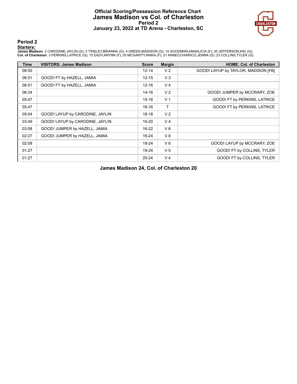## **Official Scoring/Possession Reference Chart James Madison vs Col. of Charleston Period 2 January 23, 2022 at TD Arena - Charleston, SC**



**Period 2**

#### **Starters:**

James Madison: 2 CARODINE,JAYLIN (G); 3 TINSLEY,BRIANNA (G); 4 GREEN,MADISON (G); 14 GOODMAN,ANNALICIA (F); 30 JEFFERSON,KIKI (G);<br>Col. of Charleston: 3 PERKINS,LATRICE (G); 15 EADY,ARYNN (F); 20 MCGARITY,ANIKA (F); 21 ANN

| <b>Time</b> | <b>VISITORS: James Madison</b>  | <b>Score</b> | <b>Margin</b>  | <b>HOME: Col. of Charleston</b>     |
|-------------|---------------------------------|--------------|----------------|-------------------------------------|
| 08:50       |                                 | $12 - 14$    | V <sub>2</sub> | GOOD! LAYUP by TAYLOR, MADISON [FB] |
| 06:51       | GOOD! FT by HAZELL, JAMIA       | $12 - 15$    | $V_3$          |                                     |
| 06:51       | GOOD! FT by HAZELL, JAMIA       | $12 - 16$    | V <sub>4</sub> |                                     |
| 06:34       |                                 | $14 - 16$    | V <sub>2</sub> | GOOD! JUMPER by MCCRARY, ZOE        |
| 05:47       |                                 | $15 - 16$    | V <sub>1</sub> | GOOD! FT by PERKINS, LATRICE        |
| 05:47       |                                 | $16 - 16$    | т              | GOOD! FT by PERKINS, LATRICE        |
| 05:04       | GOOD! LAYUP by CARODINE, JAYLIN | $16 - 18$    | V <sub>2</sub> |                                     |
| 03:49       | GOOD! LAYUP by CARODINE, JAYLIN | $16 - 20$    | V <sub>4</sub> |                                     |
| 03:08       | GOOD! JUMPER by HAZELL, JAMIA   | $16 - 22$    | $V_6$          |                                     |
| 02:27       | GOOD! JUMPER by HAZELL, JAMIA   | $16 - 24$    | V8             |                                     |
| 02:08       |                                 | 18-24        | $V_6$          | GOOD! LAYUP by MCCRARY, ZOE         |
| 01:27       |                                 | 19-24        | V <sub>5</sub> | GOOD! FT by COLLINS, TYLER          |
| 01:27       |                                 | $20 - 24$    | V <sub>4</sub> | GOOD! FT by COLLINS, TYLER          |

**James Madison 24, Col. of Charleston 20**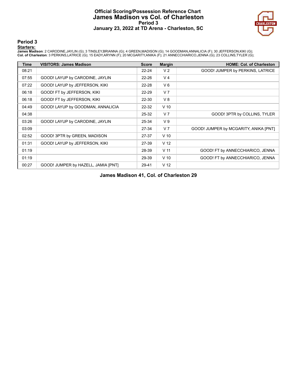## **Official Scoring/Possession Reference Chart James Madison vs Col. of Charleston Period 3 January 23, 2022 at TD Arena - Charleston, SC**



**Period 3**

#### **Starters:**

James Madison: 2 CARODINE,JAYLIN (G); 3 TINSLEY,BRIANNA (G); 4 GREEN,MADISON (G); 14 GOODMAN,ANNALICIA (F); 30 JEFFERSON,KIKI (G);<br>Col. of Charleston: 3 PERKINS,LATRICE (G); 15 EADY,ARYNN (F); 20 MCGARITY,ANIKA (F); 21 ANN

| <b>Time</b> | <b>VISITORS: James Madison</b>      | <b>Score</b> | <b>Margin</b>   | <b>HOME: Col. of Charleston</b>       |
|-------------|-------------------------------------|--------------|-----------------|---------------------------------------|
| 08:21       |                                     | $22 - 24$    | V <sub>2</sub>  | GOOD! JUMPER by PERKINS, LATRICE      |
| 07:55       | GOOD! LAYUP by CARODINE, JAYLIN     | 22-26        | V <sub>4</sub>  |                                       |
| 07:22       | GOOD! LAYUP by JEFFERSON, KIKI      | 22-28        | V6              |                                       |
| 06:18       | GOOD! FT by JEFFERSON, KIKI         | 22-29        | V <sub>7</sub>  |                                       |
| 06:18       | GOOD! FT by JEFFERSON, KIKI         | 22-30        | V8              |                                       |
| 04:49       | GOOD! LAYUP by GOODMAN, ANNALICIA   | $22 - 32$    | $V$ 10          |                                       |
| 04:38       |                                     | 25-32        | V <sub>7</sub>  | GOOD! 3PTR by COLLINS, TYLER          |
| 03:26       | GOOD! LAYUP by CARODINE, JAYLIN     | 25-34        | V <sub>9</sub>  |                                       |
| 03:09       |                                     | 27-34        | V <sub>7</sub>  | GOOD! JUMPER by MCGARITY, ANIKA [PNT] |
| 02:52       | GOOD! 3PTR by GREEN, MADISON        | 27-37        | $V$ 10          |                                       |
| 01:31       | GOOD! LAYUP by JEFFERSON, KIKI      | 27-39        | V <sub>12</sub> |                                       |
| 01:19       |                                     | 28-39        | V <sub>11</sub> | GOOD! FT by ANNECCHIARICO, JENNA      |
| 01:19       |                                     | 29-39        | $V$ 10          | GOOD! FT by ANNECCHIARICO, JENNA      |
| 00:27       | GOOD! JUMPER by HAZELL, JAMIA [PNT] | 29-41        | V <sub>12</sub> |                                       |

**James Madison 41, Col. of Charleston 29**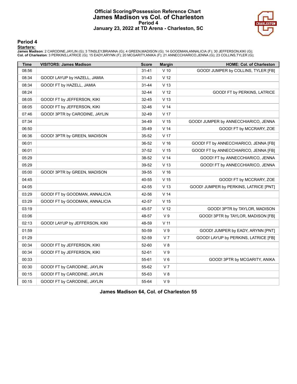## **Official Scoring/Possession Reference Chart James Madison vs Col. of Charleston Period 4 January 23, 2022 at TD Arena - Charleston, SC**



### **Period 4**

#### **Starters:**

James Madison: 2 CARODINE,JAYLIN (G); 3 TINSLEY,BRIANNA (G); 4 GREEN,MADISON (G); 14 GOODMAN,ANNALICIA (F); 30 JEFFERSON,KIKI (G);<br>Col. of Charleston: 3 PERKINS,LATRICE (G); 15 EADY,ARYNN (F); 20 MCGARITY,ANIKA (F); 21 ANN

| <b>Time</b> | <b>VISITORS: James Madison</b> | <b>Score</b> | <b>Margin</b>   | <b>HOME: Col. of Charleston</b>        |
|-------------|--------------------------------|--------------|-----------------|----------------------------------------|
| 08:56       |                                | $31 - 41$    | $V$ 10          | GOOD! JUMPER by COLLINS, TYLER [FB]    |
| 08:34       | GOOD! LAYUP by HAZELL, JAMIA   | 31-43        | V 12            |                                        |
| 08:34       | GOOD! FT by HAZELL, JAMIA      | $31 - 44$    | V <sub>13</sub> |                                        |
| 08:24       |                                | 32-44        | V <sub>12</sub> | GOOD! FT by PERKINS, LATRICE           |
| 08:05       | GOOD! FT by JEFFERSON, KIKI    | 32-45        | V <sub>13</sub> |                                        |
| 08:05       | GOOD! FT by JEFFERSON, KIKI    | 32-46        | V <sub>14</sub> |                                        |
| 07:46       | GOOD! 3PTR by CARODINE, JAYLIN | 32-49        | V <sub>17</sub> |                                        |
| 07:34       |                                | 34-49        | V <sub>15</sub> | GOOD! JUMPER by ANNECCHIARICO, JENNA   |
| 06:50       |                                | 35-49        | V <sub>14</sub> | GOOD! FT by MCCRARY, ZOE               |
| 06:36       | GOOD! 3PTR by GREEN, MADISON   | 35-52        | V <sub>17</sub> |                                        |
| 06:01       |                                | 36-52        | V <sub>16</sub> | GOOD! FT by ANNECCHIARICO, JENNA [FB]  |
| 06:01       |                                | 37-52        | V <sub>15</sub> | GOOD! FT by ANNECCHIARICO, JENNA [FB]  |
| 05:29       |                                | 38-52        | V <sub>14</sub> | GOOD! FT by ANNECCHIARICO, JENNA       |
| 05:29       |                                | 39-52        | V <sub>13</sub> | GOOD! FT by ANNECCHIARICO, JENNA       |
| 05:00       | GOOD! 3PTR by GREEN, MADISON   | 39-55        | $V$ 16          |                                        |
| 04:45       |                                | 40-55        | V <sub>15</sub> | GOOD! FT by MCCRARY, ZOE               |
| 04:05       |                                | 42-55        | V <sub>13</sub> | GOOD! JUMPER by PERKINS, LATRICE [PNT] |
| 03:29       | GOOD! FT by GOODMAN, ANNALICIA | 42-56        | V <sub>14</sub> |                                        |
| 03:29       | GOOD! FT by GOODMAN, ANNALICIA | 42-57        | V <sub>15</sub> |                                        |
| 03:19       |                                | 45-57        | V <sub>12</sub> | GOOD! 3PTR by TAYLOR, MADISON          |
| 03:06       |                                | 48-57        | V <sub>9</sub>  | GOOD! 3PTR by TAYLOR, MADISON [FB]     |
| 02:13       | GOOD! LAYUP by JEFFERSON, KIKI | 48-59        | $V$ 11          |                                        |
| 01:59       |                                | 50-59        | V <sub>9</sub>  | GOOD! JUMPER by EADY, ARYNN [PNT]      |
| 01:29       |                                | 52-59        | V <sub>7</sub>  | GOOD! LAYUP by PERKINS, LATRICE [FB]   |
| 00:34       | GOOD! FT by JEFFERSON, KIKI    | 52-60        | V8              |                                        |
| 00:34       | GOOD! FT by JEFFERSON, KIKI    | 52-61        | V <sub>9</sub>  |                                        |
| 00:33       |                                | 55-61        | $V_6$           | GOOD! 3PTR by MCGARITY, ANIKA          |
| 00:30       | GOOD! FT by CARODINE, JAYLIN   | 55-62        | V <sub>7</sub>  |                                        |
| 00:15       | GOOD! FT by CARODINE, JAYLIN   | 55-63        | V8              |                                        |
| 00:15       | GOOD! FT by CARODINE, JAYLIN   | 55-64        | V <sub>9</sub>  |                                        |

**James Madison 64, Col. of Charleston 55**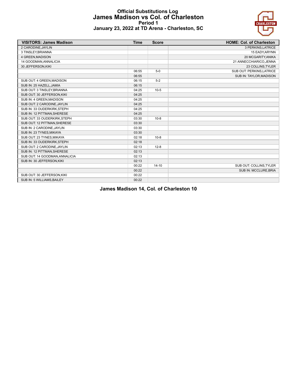## **Official Substitutions Log James Madison vs Col. of Charleston Period 1 January 23, 2022 at TD Arena - Charleston, SC**



| <b>VISITORS: James Madison</b> | <b>Time</b> | <b>Score</b> | <b>HOME: Col. of Charleston</b> |
|--------------------------------|-------------|--------------|---------------------------------|
| 2 CARODINE, JAYLIN             |             |              | 3 PERKINS, LATRICE              |
| 3 TINSLEY, BRIANNA             |             |              | 15 EADY, ARYNN                  |
| 4 GREEN, MADISON               |             |              | 20 MCGARITY, ANIKA              |
| 14 GOODMAN, ANNALICIA          |             |              | 21 ANNECCHIARICO, JENNA         |
| 30 JEFFERSON, KIKI             |             |              | 23 COLLINS, TYLER               |
|                                | 06:55       | $5-0$        | SUB OUT: PERKINS, LATRICE       |
|                                | 06:55       |              | SUB IN: TAYLOR, MADISON         |
| SUB OUT: 4 GREEN, MADISON      | 06:15       | $5-2$        |                                 |
| SUB IN: 25 HAZELL, JAMIA       | 06:15       |              |                                 |
| SUB OUT: 3 TINSLEY, BRIANNA    | 04:25       | $10-5$       |                                 |
| SUB OUT: 30 JEFFERSON, KIKI    | 04:25       |              |                                 |
| SUB IN: 4 GREEN, MADISON       | 04:25       |              |                                 |
| SUB OUT: 2 CARODINE, JAYLIN    | 04:25       |              |                                 |
| SUB IN: 33 OUDERKIRK, STEPH    | 04:25       |              |                                 |
| SUB IN: 12 PITTMAN, SHERESE    | 04:25       |              |                                 |
| SUB OUT: 33 OUDERKIRK, STEPH   | 03:30       | $10-8$       |                                 |
| SUB OUT: 12 PITTMAN, SHERESE   | 03:30       |              |                                 |
| SUB IN: 2 CARODINE, JAYLIN     | 03:30       |              |                                 |
| SUB IN: 23 TYNES, MIKAYA       | 03:30       |              |                                 |
| SUB OUT: 23 TYNES.MIKAYA       | 02:18       | $10-8$       |                                 |
| SUB IN: 33 OUDERKIRK, STEPH    | 02:18       |              |                                 |
| SUB OUT: 2 CARODINE, JAYLIN    | 02:13       | $12 - 8$     |                                 |
| SUB IN: 12 PITTMAN, SHERESE    | 02:13       |              |                                 |
| SUB OUT: 14 GOODMAN, ANNALICIA | 02:13       |              |                                 |
| SUB IN: 30 JEFFERSON, KIKI     | 02:13       |              |                                 |
|                                | 00:22       | $14-10$      | SUB OUT: COLLINS, TYLER         |
|                                | 00:22       |              | SUB IN: MCCLURE, BRIA           |
| SUB OUT: 30 JEFFERSON, KIKI    | 00:22       |              |                                 |
| SUB IN: 5 WILLIAMS, BAILEY     | 00:22       |              |                                 |

**James Madison 14, Col. of Charleston 10**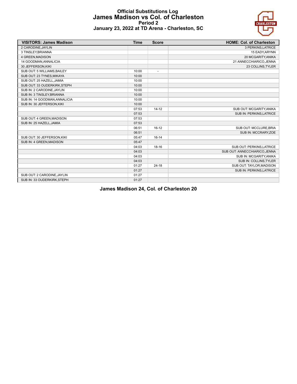

## **Official Substitutions Log James Madison vs Col. of Charleston Period 2 January 23, 2022 at TD Arena - Charleston, SC**

| <b>VISITORS: James Madison</b> | <b>Time</b> | <b>Score</b>   | <b>HOME: Col. of Charleston</b> |
|--------------------------------|-------------|----------------|---------------------------------|
| 2 CARODINE, JAYLIN             |             |                | 3 PERKINS, LATRICE              |
| 3 TINSLEY, BRIANNA             |             |                | 15 EADY, ARYNN                  |
| 4 GREEN, MADISON               |             |                | 20 MCGARITY, ANIKA              |
| 14 GOODMAN, ANNALICIA          |             |                | 21 ANNECCHIARICO, JENNA         |
| 30 JEFFERSON, KIKI             |             |                | 23 COLLINS, TYLER               |
| SUB OUT: 5 WILLIAMS, BAILEY    | 10:00       | $\overline{a}$ |                                 |
| SUB OUT: 23 TYNES.MIKAYA       | 10:00       |                |                                 |
| SUB OUT: 25 HAZELL, JAMIA      | 10:00       |                |                                 |
| SUB OUT: 33 OUDERKIRK, STEPH   | 10:00       |                |                                 |
| SUB IN: 2 CARODINE, JAYLIN     | 10:00       |                |                                 |
| SUB IN: 3 TINSLEY, BRIANNA     | 10:00       |                |                                 |
| SUB IN: 14 GOODMAN, ANNALICIA  | 10:00       |                |                                 |
| SUB IN: 30 JEFFERSON, KIKI     | 10:00       |                |                                 |
|                                | 07:53       | $14 - 12$      | SUB OUT: MCGARITY, ANIKA        |
|                                | 07:53       |                | <b>SUB IN: PERKINS.LATRICE</b>  |
| SUB OUT: 4 GREEN, MADISON      | 07:53       |                |                                 |
| SUB IN: 25 HAZELL, JAMIA       | 07:53       |                |                                 |
|                                | 06:51       | $16 - 12$      | SUB OUT: MCCLURE, BRIA          |
|                                | 06:51       |                | SUB IN: MCCRARY, ZOE            |
| SUB OUT: 30 JEFFERSON, KIKI    | 05:47       | $16 - 14$      |                                 |
| SUB IN: 4 GREEN, MADISON       | 05:47       |                |                                 |
|                                | 04:03       | $18 - 16$      | SUB OUT: PERKINS, LATRICE       |
|                                | 04:03       |                | SUB OUT: ANNECCHIARICO, JENNA   |
|                                | 04:03       |                | SUB IN: MCGARITY, ANIKA         |
|                                | 04:03       |                | SUB IN: COLLINS, TYLER          |
|                                | 01:27       | $24 - 18$      | SUB OUT: TAYLOR, MADISON        |
|                                | 01:27       |                | SUB IN: PERKINS, LATRICE        |
| SUB OUT: 2 CARODINE, JAYLIN    | 01:27       |                |                                 |
| SUB IN: 33 OUDERKIRK, STEPH    | 01:27       |                |                                 |

**James Madison 24, Col. of Charleston 20**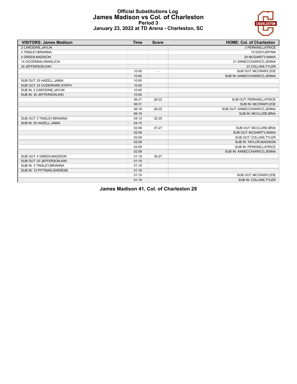

## **Official Substitutions Log James Madison vs Col. of Charleston Period 3 January 23, 2022 at TD Arena - Charleston, SC**

| <b>VISITORS: James Madison</b> | <b>Time</b> | <b>Score</b>             | <b>HOME: Col. of Charleston</b> |
|--------------------------------|-------------|--------------------------|---------------------------------|
| 2 CARODINE, JAYLIN             |             |                          | 3 PERKINS, LATRICE              |
| 3 TINSLEY, BRIANNA             |             |                          | 15 EADY, ARYNN                  |
| 4 GREEN, MADISON               |             |                          | 20 MCGARITY, ANIKA              |
| 14 GOODMAN, ANNALICIA          |             |                          | 21 ANNECCHIARICO, JENNA         |
| 30 JEFFERSON, KIKI             |             |                          | 23 COLLINS, TYLER               |
|                                | 10:00       | $\overline{\phantom{a}}$ | SUB OUT: MCCRARY, ZOE           |
|                                | 10:00       |                          | SUB IN: ANNECCHIARICO, JENNA    |
| SUB OUT: 25 HAZELL, JAMIA      | 10:00       |                          |                                 |
| SUB OUT: 33 OUDERKIRK, STEPH   | 10:00       |                          |                                 |
| SUB IN: 2 CARODINE, JAYLIN     | 10:00       |                          |                                 |
| SUB IN: 30 JEFFERSON, KIKI     | 10:00       |                          |                                 |
|                                | 06:31       | 28-22                    | SUB OUT: PERKINS, LATRICE       |
|                                | 06:31       |                          | SUB IN: MCCRARY, ZOE            |
|                                | 06:18       | 28-22                    | SUB OUT: ANNECCHIARICO, JENNA   |
|                                | 06:18       |                          | <b>SUB IN: MCCLURE.BRIA</b>     |
| SUB OUT: 3 TINSLEY, BRIANNA    | 04:13       | 32-25                    |                                 |
| SUB IN: 25 HAZELL, JAMIA       | 04:13       |                          |                                 |
|                                | 02:09       | $37 - 27$                | SUB OUT: MCCLURE.BRIA           |
|                                | 02:09       |                          | SUB OUT: MCGARITY, ANIKA        |
|                                | 02:09       |                          | SUB OUT: COLLINS, TYLER         |
|                                | 02:09       |                          | SUB IN: TAYLOR, MADISON         |
|                                | 02:09       |                          | SUB IN: PERKINS, LATRICE        |
|                                | 02:09       |                          | SUB IN: ANNECCHIARICO, JENNA    |
| SUB OUT: 4 GREEN, MADISON      | 01:19       | 39-27                    |                                 |
| SUB OUT: 30 JEFFERSON, KIKI    | 01:19       |                          |                                 |
| SUB IN: 3 TINSLEY, BRIANNA     | 01:19       |                          |                                 |
| SUB IN: 12 PITTMAN, SHERESE    | 01:19       |                          |                                 |
|                                | 01:19       |                          | SUB OUT: MCCRARY, ZOE           |
|                                | 01:19       |                          | SUB IN: COLLINS, TYLER          |

**James Madison 41, Col. of Charleston 29**